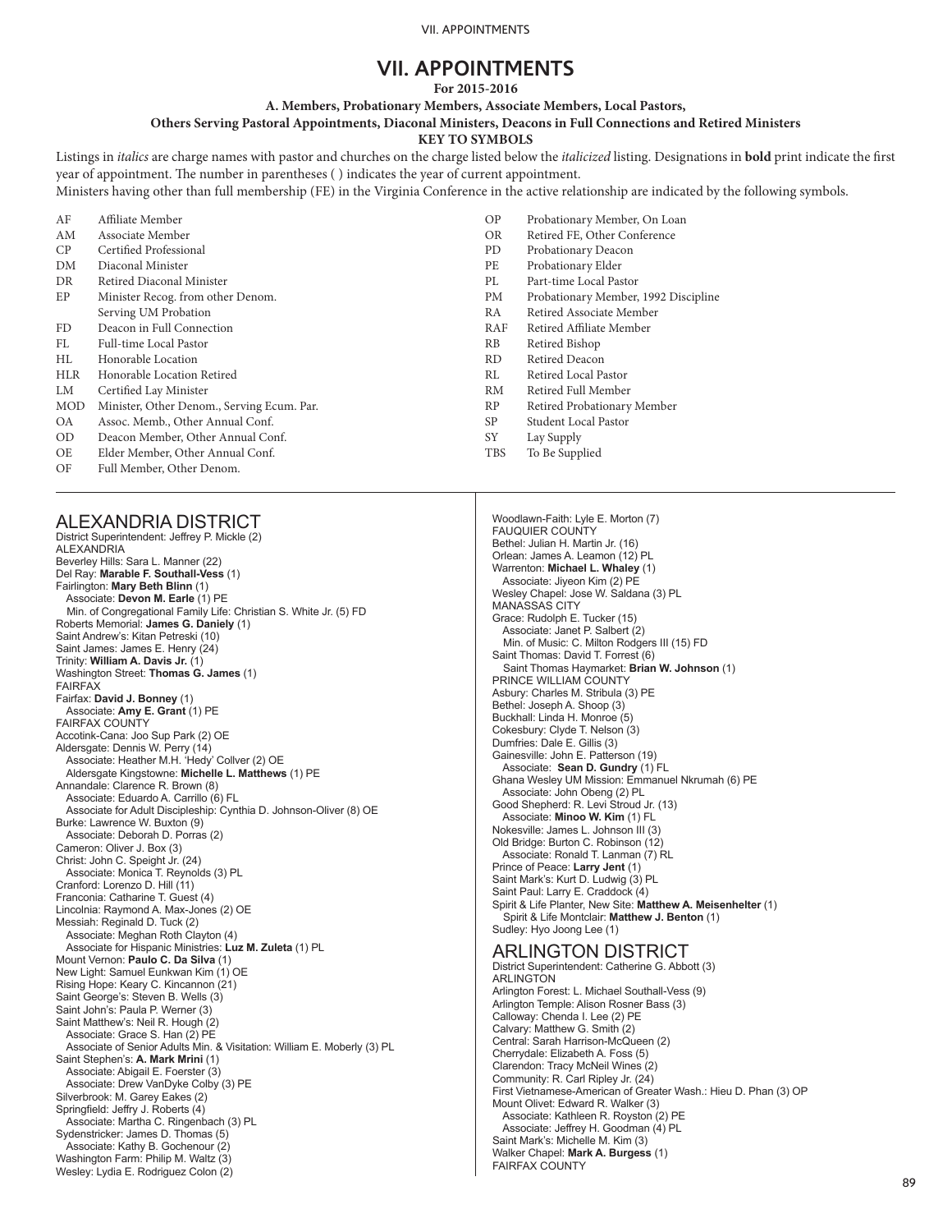## VII. APPOINTMENTS

# **VII. APPOINTMENTS**

**For 2015-2016**

**A. Members, Probationary Members, Associate Members, Local Pastors,** 

## **Others Serving Pastoral Appointments, Diaconal Ministers, Deacons in Full Connections and Retired Ministers**

**KEY TO SYMBOLS**

Listings in *italics* are charge names with pastor and churches on the charge listed below the *italicized* listing. Designations in **bold** print indicate the first year of appointment. The number in parentheses ( ) indicates the year of current appointment.

Ministers having other than full membership (FE) in the Virginia Conference in the active relationship are indicated by the following symbols.

- AF Affiliate Member
- AM Associate Member
- CP Certified Professional
- DM Diaconal Minister
- DR Retired Diaconal Minister
- EP Minister Recog. from other Denom. Serving UM Probation
- FD Deacon in Full Connection
- FL Full-time Local Pastor
- HL Honorable Location
- HLR Honorable Location Retired
- LM Certified Lay Minister
- MOD Minister, Other Denom., Serving Ecum. Par.
- OA Assoc. Memb., Other Annual Conf.
- OD Deacon Member, Other Annual Conf.
- OE Elder Member, Other Annual Conf.
- OF Full Member, Other Denom.

# ALEXANDRIA DISTRICT

District Superintendent: Jeffrey P. Mickle (2) ALEXANDRIA Beverley Hills: Sara L. Manner (22) Del Ray: **Marable F. Southall-Vess** (1) Fairlington: **Mary Beth Blinn** (1) Associate: **Devon M. Earle** (1) PE Min. of Congregational Family Life: Christian S. White Jr. (5) FD Roberts Memorial: **James G. Daniely** (1) Saint Andrew's: Kitan Petreski (10) Saint James: James E. Henry (24) Trinity: **William A. Davis Jr.** (1) Washington Street: **Thomas G. James** (1) FAIRFAX Fairfax: **David J. Bonney** (1) Associate: **Amy E. Grant** (1) PE FAIRFAX COUNTY Accotink-Cana: Joo Sup Park (2) OE Aldersgate: Dennis W. Perry (14) Associate: Heather M.H. 'Hedy' Collver (2) OE Aldersgate Kingstowne: **Michelle L. Matthews** (1) PE Annandale: Clarence R. Brown (8) Associate: Eduardo A. Carrillo (6) FL Associate for Adult Discipleship: Cynthia D. Johnson-Oliver (8) OE Burke: Lawrence W. Buxton (9) Associate: Deborah D. Porras (2) Cameron: Oliver J. Box (3) Christ: John C. Speight Jr. (24) Associate: Monica T. Reynolds (3) PL Cranford: Lorenzo D. Hill (11) Franconia: Catharine T. Guest (4) Lincolnia: Raymond A. Max-Jones (2) OE Messiah: Reginald D. Tuck (2) Associate: Meghan Roth Clayton (4) Associate for Hispanic Ministries: **Luz M. Zuleta** (1) PL Mount Vernon: **Paulo C. Da Silva** (1) New Light: Samuel Eunkwan Kim (1) OE Rising Hope: Keary C. Kincannon (21) Saint George's: Steven B. Wells (3) Saint John's: Paula P. Werner (3) Saint Matthew's: Neil R. Hough (2) Associate: Grace S. Han (2) PE Associate of Senior Adults Min. & Visitation: William E. Moberly (3) PL Saint Stephen's: **A. Mark Mrini** (1) Associate: Abigail E. Foerster (3) Associate: Drew VanDyke Colby (3) PE Silverbrook: M. Garey Eakes (2) Springfield: Jeffry J. Roberts (4) Associate: Martha C. Ringenbach (3) PL Sydenstricker: James D. Thomas (5) Associate: Kathy B. Gochenour (2) Washington Farm: Philip M. Waltz (3) Wesley: Lydia E. Rodriguez Colon (2)

- OP Probationary Member, On Loan
- OR Retired FE, Other Conference
- PD Probationary Deacon
- PE Probationary Elder<br>PI Part-time Local Pas
- Part-time Local Pastor
- PM Probationary Member, 1992 Discipline
- RA Retired Associate Member
- RAF Retired Affiliate Member
- RB Retired Bishop
- RD Retired Deacon<br>RL Retired Local Pa
- Retired Local Pastor
- RM Retired Full Member
- RP Retired Probationary Member
- SP Student Local Pastor<br>SY Lav Supply
- SY Lay Supply<br>TBS To Be Supp
- To Be Supplied

Woodlawn-Faith: Lyle E. Morton (7) FAUQUIER COUNTY Bethel: Julian H. Martin Jr. (16) Orlean: James A. Leamon (12) PL Warrenton: **Michael L. Whaley** (1) Associate: Jiyeon Kim (2) PE Wesley Chapel: Jose W. Saldana (3) PL MANASSAS CITY Grace: Rudolph E. Tucker (15) Associate: Janet P. Salbert (2) Min. of Music: C. Milton Rodgers III (15) FD Saint Thomas: David T. Forrest (6) Saint Thomas Haymarket: **Brian W. Johnson** (1) PRINCE WILLIAM COUNTY Asbury: Charles M. Stribula (3) PE Bethel: Joseph A. Shoop (3) Buckhall: Linda H. Monroe (5) Cokesbury: Clyde T. Nelson (3) Dumfries: Dale E. Gillis (3) Gainesville: John E. Patterson (19) Associate: **Sean D. Gundry** (1) FL Ghana Wesley UM Mission: Emmanuel Nkrumah (6) PE Associate: John Obeng (2) PL Good Shepherd: R. Levi Stroud Jr. (13) Associate: **Minoo W. Kim** (1) FL Nokesville: James L. Johnson III (3) Old Bridge: Burton C. Robinson (12) Associate: Ronald T. Lanman (7) RL Prince of Peace: **Larry Jent** (1) Saint Mark's: Kurt D. Ludwig (3) PL Saint Paul: Larry E. Craddock (4) Spirit & Life Planter, New Site: **Matthew A. Meisenhelter** (1) Spirit & Life Montclair: **Matthew J. Benton** (1)

## ARLINGTON DISTRICT

Sudley: Hyo Joong Lee (1)

District Superintendent: Catherine G. Abbott (3) ARLINGTON Arlington Forest: L. Michael Southall-Vess (9) Arlington Temple: Alison Rosner Bass (3) Calloway: Chenda I. Lee (2) PE Calvary: Matthew G. Smith (2) Central: Sarah Harrison-McQueen (2) Cherrydale: Elizabeth A. Foss (5) Clarendon: Tracy McNeil Wines (2) Community: R. Carl Ripley Jr. (24) First Vietnamese-American of Greater Wash.: Hieu D. Phan (3) OP Mount Olivet: Edward R. Walker (3) Associate: Kathleen R. Royston (2) PE Associate: Jeffrey H. Goodman (4) PL Saint Mark's: Michelle M. Kim (3) Walker Chapel: **Mark A. Burgess** (1) FAIRFAX COUNTY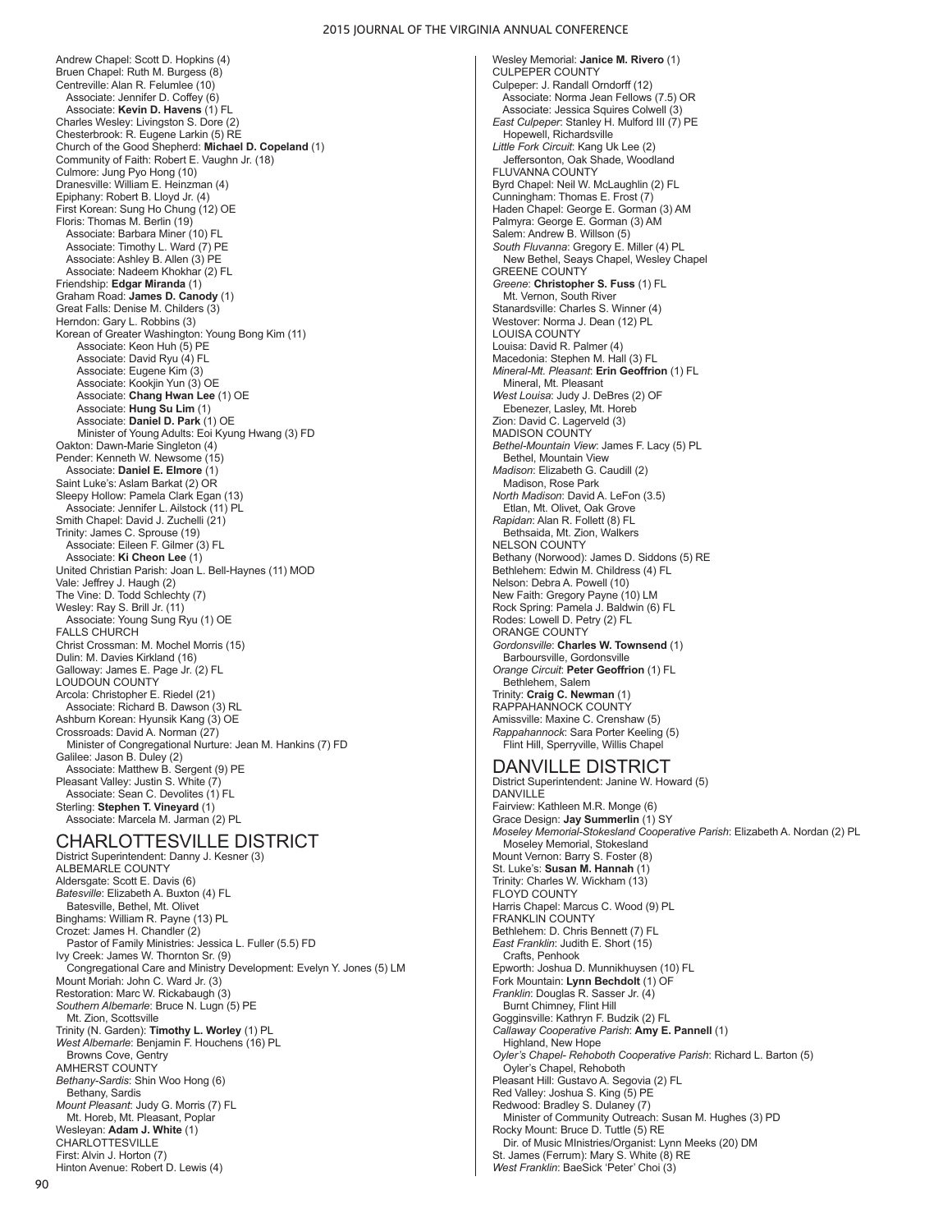Andrew Chapel: Scott D. Hopkins (4) Bruen Chapel: Ruth M. Burgess (8) Centreville: Alan R. Felumlee (10) Associate: Jennifer D. Coffey (6) Associate: **Kevin D. Havens** (1) FL Charles Wesley: Livingston S. Dore (2) Chesterbrook: R. Eugene Larkin (5) RE Church of the Good Shepherd: **Michael D. Copeland** (1) Community of Faith: Robert E. Vaughn Jr. (18) Culmore: Jung Pyo Hong (10) Dranesville: William E. Heinzman (4) Epiphany: Robert B. Lloyd Jr. (4) First Korean: Sung Ho Chung (12) OE Floris: Thomas M. Berlin (19) Associate: Barbara Miner (10) FL Associate: Timothy L. Ward (7) PE Associate: Ashley B. Allen (3) PE Associate: Nadeem Khokhar (2) FL Friendship: **Edgar Miranda** (1) Graham Road: **James D. Canody** (1) Great Falls: Denise M. Childers (3) Herndon: Gary L. Robbins (3) Korean of Greater Washington: Young Bong Kim (11) Associate: Keon Huh (5) PE Associate: David Ryu (4) FL Associate: Eugene Kim (3) Associate: Kookjin Yun (3) OE Associate: **Chang Hwan Lee** (1) OE Associate: **Hung Su Lim** (1) Associate: **Daniel D. Park** (1) OE Minister of Young Adults: Eoi Kyung Hwang (3) FD Oakton: Dawn-Marie Singleton (4) Pender: Kenneth W. Newsome (15) Associate: **Daniel E. Elmore** (1) Saint Luke's: Aslam Barkat (2) OR Sleepy Hollow: Pamela Clark Egan (13) Associate: Jennifer L. Ailstock (11) PL Smith Chapel: David J. Zuchelli (21) Trinity: James C. Sprouse (19) Associate: Eileen F. Gilmer (3) FL Associate: **Ki Cheon Lee** (1) United Christian Parish: Joan L. Bell-Haynes (11) MOD Vale: Jeffrey J. Haugh (2) The Vine: D. Todd Schlechty (7) Wesley: Ray S. Brill Jr. (11) Associate: Young Sung Ryu (1) OE FALLS CHURCH Christ Crossman: M. Mochel Morris (15) Dulin: M. Davies Kirkland (16) Galloway: James E. Page Jr. (2) FL LOUDOUN COUNTY Arcola: Christopher E. Riedel (21) Associate: Richard B. Dawson (3) RL Ashburn Korean: Hyunsik Kang (3) OE Crossroads: David A. Norman (27) Minister of Congregational Nurture: Jean M. Hankins (7) FD Galilee: Jason B. Duley (2) Associate: Matthew B. Sergent (9) PE Pleasant Valley: Justin S. White (7) Associate: Sean C. Devolites (1) FL Sterling: **Stephen T. Vineyard** (1) Associate: Marcela M. Jarman (2) PL

# CHARLOTTESVILLE DISTRICT

District Superintendent: Danny J. Kesner (3) ALBEMARLE COUNTY Aldersgate: Scott E. Davis (6) *Batesville*: Elizabeth A. Buxton (4) FL Batesville, Bethel, Mt. Olivet Binghams: William R. Payne (13) PL Crozet: James H. Chandler (2) Pastor of Family Ministries: Jessica L. Fuller (5.5) FD Ivy Creek: James W. Thornton Sr. (9) Congregational Care and Ministry Development: Evelyn Y. Jones (5) LM Mount Moriah: John C. Ward Jr. (3) Restoration: Marc W. Rickabaugh (3) *Southern Albemarle*: Bruce N. Lugn (5) PE Mt. Zion, Scottsville Trinity (N. Garden): **Timothy L. Worley** (1) PL *West Albemarle*: Benjamin F. Houchens (16) PL Browns Cove, Gentry AMHERST COUNTY *Bethany-Sardis*: Shin Woo Hong (6) Bethany, Sardis *Mount Pleasant*: Judy G. Morris (7) FL Mt. Horeb, Mt. Pleasant, Poplar Wesleyan: **Adam J. White** (1) **CHARLOTTESVILLE** First: Alvin J. Horton (7) Hinton Avenue: Robert D. Lewis (4)

Wesley Memorial: **Janice M. Rivero** (1) CULPEPER COUNTY Culpeper: J. Randall Orndorff (12) Associate: Norma Jean Fellows (7.5) OR Associate: Jessica Squires Colwell (3) *East Culpeper*: Stanley H. Mulford III (7) PE Hopewell, Richardsville *Little Fork Circuit*: Kang Uk Lee (2) Jeffersonton, Oak Shade, Woodland FLUVANNA COUNTY Byrd Chapel: Neil W. McLaughlin (2) FL Cunningham: Thomas E. Frost (7) Haden Chapel: George E. Gorman (3) AM Palmyra: George E. Gorman (3) AM Salem: Andrew B. Willson (5) *South Fluvanna*: Gregory E. Miller (4) PL New Bethel, Seays Chapel, Wesley Chapel **GREENE COUNTY** *Greene*: **Christopher S. Fuss** (1) FL Mt. Vernon, South River Stanardsville: Charles S. Winner (4) Westover: Norma J. Dean (12) PL LOUISA COUNTY Louisa: David R. Palmer (4) Macedonia: Stephen M. Hall (3) FL *Mineral-Mt. Pleasant*: **Erin Geoffrion** (1) FL Mineral, Mt. Pleasant *West Louisa*: Judy J. DeBres (2) OF Ebenezer, Lasley, Mt. Horeb Zion: David C. Lagerveld (3) MADISON COUNTY *Bethel-Mountain View*: James F. Lacy (5) PL Bethel, Mountain View *Madison*: Elizabeth G. Caudill (2) Madison, Rose Park *North Madison*: David A. LeFon (3.5) Etlan, Mt. Olivet, Oak Grove *Rapidan*: Alan R. Follett (8) FL Bethsaida, Mt. Zion, Walkers NELSON COUNTY Bethany (Norwood): James D. Siddons (5) RE Bethlehem: Edwin M. Childress (4) FL Nelson: Debra A. Powell (10) New Faith: Gregory Payne (10) LM Rock Spring: Pamela J. Baldwin (6) FL Rodes: Lowell D. Petry (2) FL ORANGE COUNTY *Gordonsville*: **Charles W. Townsend** (1) Barboursville, Gordonsville *Orange Circuit*: **Peter Geoffrion** (1) FL Bethlehem, Salem Trinity: **Craig C. Newman** (1) RAPPAHANNOCK COUNTY Amissville: Maxine C. Crenshaw (5) *Rappahannock*: Sara Porter Keeling (5) Flint Hill, Sperryville, Willis Chapel

#### DANVILLE DISTRICT

District Superintendent: Janine W. Howard (5) **DANVILLE** Fairview: Kathleen M.R. Monge (6) Grace Design: **Jay Summerlin** (1) SY *Moseley Memorial-Stokesland Cooperative Parish*: Elizabeth A. Nordan (2) PL Moseley Memorial, Stokesland Mount Vernon: Barry S. Foster (8) St. Luke's: **Susan M. Hannah** (1) Trinity: Charles W. Wickham (13) FLOYD COUNTY Harris Chapel: Marcus C. Wood (9) PL FRANKLIN COUNTY Bethlehem: D. Chris Bennett (7) FL *East Franklin*: Judith E. Short (15) Crafts, Penhook Epworth: Joshua D. Munnikhuysen (10) FL Fork Mountain: **Lynn Bechdolt** (1) OF *Franklin*: Douglas R. Sasser Jr. (4) Burnt Chimney, Flint Hill Gogginsville: Kathryn F. Budzik (2) FL *Callaway Cooperative Parish*: **Amy E. Pannell** (1) Highland, New Hope *Oyler's Chapel- Rehoboth Cooperative Parish*: Richard L. Barton (5) Oyler's Chapel, Rehoboth Pleasant Hill: Gustavo A. Segovia (2) FL Red Valley: Joshua S. King (5) PE Redwood: Bradley S. Dulaney (7) Minister of Community Outreach: Susan M. Hughes (3) PD Rocky Mount: Bruce D. Tuttle (5) RE Dir. of Music MInistries/Organist: Lynn Meeks (20) DM St. James (Ferrum): Mary S. White (8) RE *West Franklin*: BaeSick 'Peter' Choi (3)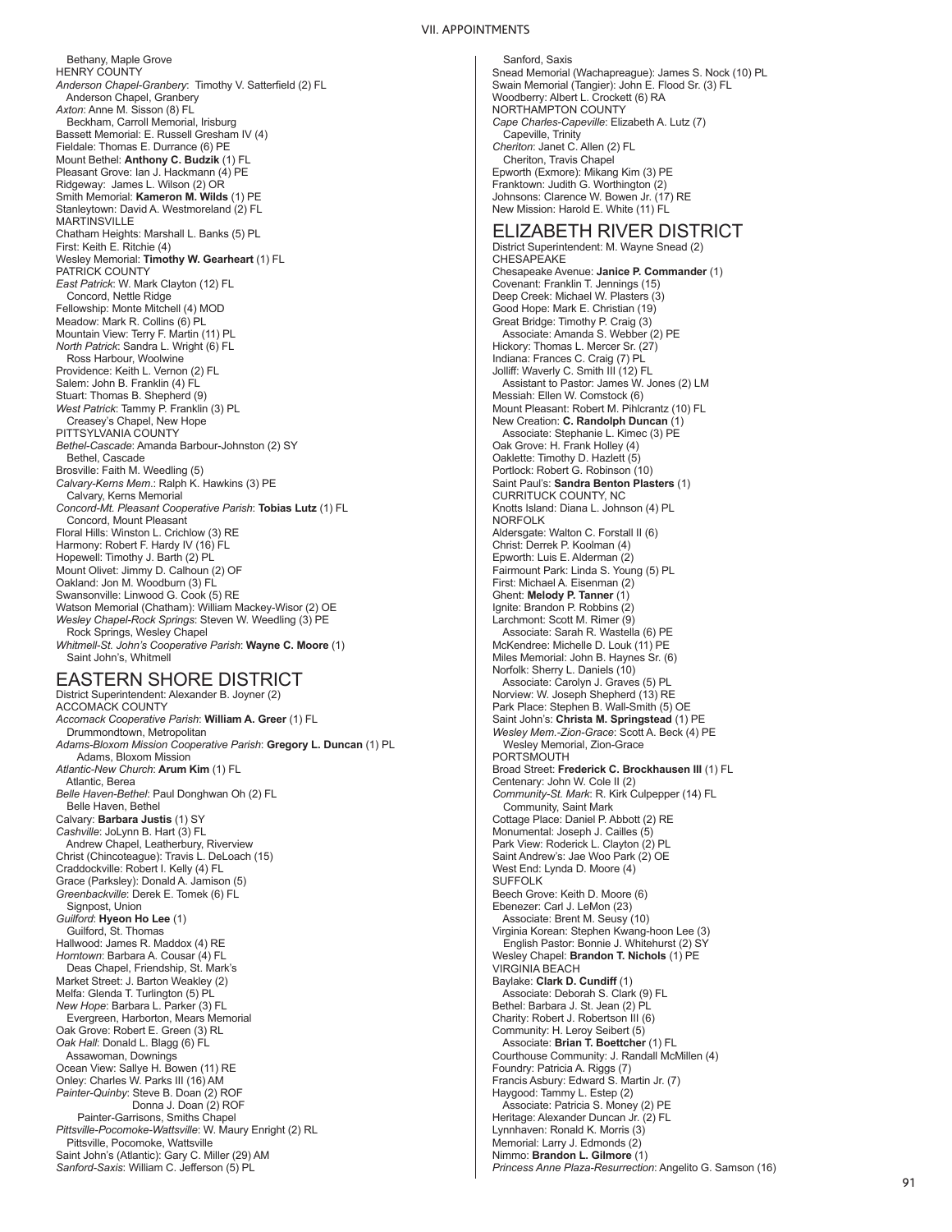Bethany, Maple Grove HENRY COUNTY *Anderson Chapel-Granbery*: Timothy V. Satterfield (2) FL Anderson Chapel, Granbery *Axton*: Anne M. Sisson (8) FL Beckham, Carroll Memorial, Irisburg Bassett Memorial: E. Russell Gresham IV (4) Fieldale: Thomas E. Durrance (6) PE Mount Bethel: **Anthony C. Budzik** (1) FL Pleasant Grove: Ian J. Hackmann (4) PE Ridgeway: James L. Wilson (2) OR Smith Memorial: **Kameron M. Wilds** (1) PE Stanleytown: David A. Westmoreland (2) FL **MARTINSVILLE** Chatham Heights: Marshall L. Banks (5) PL First: Keith E. Ritchie (4) Wesley Memorial: **Timothy W. Gearheart** (1) FL PATRICK COUNTY *East Patrick*: W. Mark Clayton (12) FL Concord, Nettle Ridge Fellowship: Monte Mitchell (4) MOD Meadow: Mark R. Collins (6) PL Mountain View: Terry F. Martin (11) PL *North Patrick*: Sandra L. Wright (6) FL Ross Harbour, Woolwine Providence: Keith L. Vernon (2) FL Salem: John B. Franklin (4) FL Stuart: Thomas B. Shepherd (9) *West Patrick*: Tammy P. Franklin (3) PL Creasey's Chapel, New Hope PITTSYLVANIA COUNTY *Bethel-Cascade*: Amanda Barbour-Johnston (2) SY Bethel, Cascade Brosville: Faith M. Weedling (5) *Calvary-Kerns Mem*.: Ralph K. Hawkins (3) PE Calvary, Kerns Memorial *Concord-Mt. Pleasant Cooperative Parish* : **Tobias Lutz** (1) FL Concord, Mount Pleasant Floral Hills: Winston L. Crichlow (3) RE Harmony: Robert F. Hardy IV (16) FL Hopewell: Timothy J. Barth (2) PL Mount Olivet: Jimmy D. Calhoun (2) OF Oakland: Jon M. Woodburn (3) FL Swansonville: Linwood G. Cook (5) RE Watson Memorial (Chatham): William Mackey-Wisor (2) OE *Wesley Chapel-Rock Springs*: Steven W. Weedling (3) PE Rock Springs, Wesley Chapel *Whitmell-St. John's Cooperative Parish*: **Wayne C. Moore** (1) Saint John's, Whitmell EASTERN SHORE DISTRICT District Superintendent: Alexander B. Joyner (2) ACCOMACK COUNTY *Accomack Cooperative Parish*: **William A. Greer** (1) FL Drummondtown, Metropolitan *Adams-Bloxom Mission Cooperative Parish*: **Gregory L. Duncan** (1) PL Adams, Bloxom Mission *Atlantic-New Church* : **Arum Kim** (1) FL Atlantic, Berea *Belle Haven-Bethel*: Paul Donghwan Oh (2) FL Belle Haven, Bethel Calvary: **Barbara Justis** (1) SY *Cashville*: JoLynn B. Hart (3) FL Andrew Chapel, Leatherbury, Riverview Christ (Chincoteague): Travis L. DeLoach (15) Craddockville: Robert I. Kelly (4) FL Grace (Parksley): Donald A. Jamison (5) *Greenbackville*: Derek E. Tomek (6) FL Signpost, Union *Guilford*: **Hyeon Ho Lee** (1) Guilford, St. Thomas Hallwood: James R. Maddox (4) RE *Horntown*: Barbara A. Cousar (4) FL Deas Chapel, Friendship, St. Mark's Market Street: J. Barton Weakley (2) Melfa: Glenda T. Turlington (5) PL *New Hope*: Barbara L. Parker (3) FL Evergreen, Harborton, Mears Memorial Oak Grove: Robert E. Green (3) RL *Oak Hall*: Donald L. Blagg (6) FL Assawoman, Downings Ocean View: Sallye H. Bowen (11) RE Onley: Charles W. Parks III (16) AM *Painter-Quinby*: Steve B. Doan (2) ROF Donna J. Doan (2) ROF Painter-Garrisons, Smiths Chapel *Pittsville-Pocomoke-Wattsville*: W. Maury Enright (2) RL

Pittsville, Pocomoke, Wattsville Saint John's (Atlantic): Gary C. Miller (29) AM *Sanford-Saxis*: William C. Jefferson (5) PL

Sanford, Saxis Snead Memorial (Wachapreague): James S. Nock (10) PL Swain Memorial (Tangier): John E. Flood Sr. (3) FL Woodberry: Albert L. Crockett (6) RA NORTHAMPTON COUNTY *Cape Charles-Capeville*: Elizabeth A. Lutz (7) Capeville, Trinity *Cheriton*: Janet C. Allen (2) FL Cheriton, Travis Chapel Epworth (Exmore): Mikang Kim (3) PE Franktown: Judith G. Worthington (2) Johnsons: Clarence W. Bowen Jr. (17) RE New Mission: Harold E. White (11) FL

# ELIZABETH RIVER DISTRICT

District Superintendent: M. Wayne Snead (2) CHESAPEAKE Chesapeake Avenue: **Janice P. Commander** (1) Covenant: Franklin T. Jennings (15) Deep Creek: Michael W. Plasters (3) Good Hope: Mark E. Christian (19) Great Bridge: Timothy P. Craig (3) Associate: Amanda S. Webber (2) PE Hickory: Thomas L. Mercer Sr. (27) Indiana: Frances C. Craig (7) PL Jolliff: Waverly C. Smith III (12) FL Assistant to Pastor: James W. Jones (2) LM Assistant to Pastor: James W. Jones (2) Liven<br>Messiah: Ellen W. Comstock (6)<br>Mount Pleasant: Robert M. Pihlcrantz (10) FL Mount Pleasant: Robert M. Pihlcrantz (10) FL New Creation: **C. Randolph Duncan** (1) Associate: Stephanie L. Kimec (3) PE Oak Grove: H. Frank Holley (4) Oaklette: Timothy D. Hazlett (5) Portlock: Robert G. Robinson (10) Saint Paul's: **Sandra Benton Plasters** (1) CURRITUCK COUNTY, NC Knotts Island: Diana L. Johnson (4) PL NORFOLK Aldersgate: Walton C. Forstall II (6) Christ: Derrek P. Koolman (4) Epworth: Luis E. Alderman (2) Fairmount Park: Linda S. Young (5) PL First: Michael A. Eisenman (2) Ghent: **Melody P. Tanner** (1) Ignite: Brandon P. Robbins (2) Larchmont: Scott M. Rimer (9) Associate: Sarah R. Wastella (6) PE McKendree: Michelle D. Louk (11) PE Miles Memorial: John B. Haynes Sr. (6) Norfolk: Sherry L. Daniels (10) Associate: Carolyn J. Graves (5) PL Norview: W. Joseph Shepherd (13) RE Park Place: Stephen B. Wall-Smith (5) OE Saint John's: **Christa M. Springstead** (1) PE *Wesley Mem.-Zion-Grace*: Scott A. Beck (4) PE Wesley Memorial, Zion-Grace PORTSMOUTH Broad Street: **Frederick C. Brockhausen III** (1) FL Centenary: John W. Cole II (2) *Community-St. Mark*: R. Kirk Culpepper (14) FL Community, Saint Mark Cottage Place: Daniel P. Abbott (2) RE Monumental: Joseph J. Cailles (5) Park View: Roderick L. Clayton (2) PL Saint Andrew's: Jae Woo Park (2) OE West End: Lynda D. Moore (4) SUFFOLK Beech Grove: Keith D. Moore (6) Ebenezer: Carl J. LeMon (23) Associate: Brent M. Seusy (10) Virginia Korean: Stephen Kwang-hoon Lee (3) English Pastor: Bonnie J. Whitehurst (2) SY Wesley Chapel: **Brandon T. Nichols** (1) PE VIRGINIA BEACH Baylake: **Clark D. Cundiff** (1) Associate: Deborah S. Clark (9) FL Bethel: Barbara J. St. Jean (2) PL Charity: Robert J. Robertson III (6) Community: H. Leroy Seibert (5) Associate: **Brian T. Boettcher** (1) FL Courthouse Community: J. Randall McMillen (4) Foundry: Patricia A. Riggs (7) Francis Asbury: Edward S. Martin Jr. (7) Haygood: Tammy L. Estep (2) Associate: Patricia S. Money (2) PE Heritage: Alexander Duncan Jr. (2) FL Lynnhaven: Ronald K. Morris (3) Memorial: Larry J. Edmonds (2) Nimmo: **Brandon L. Gilmore** (1) *Princess Anne Plaza-Resurrection*: Angelito G. Samson (16)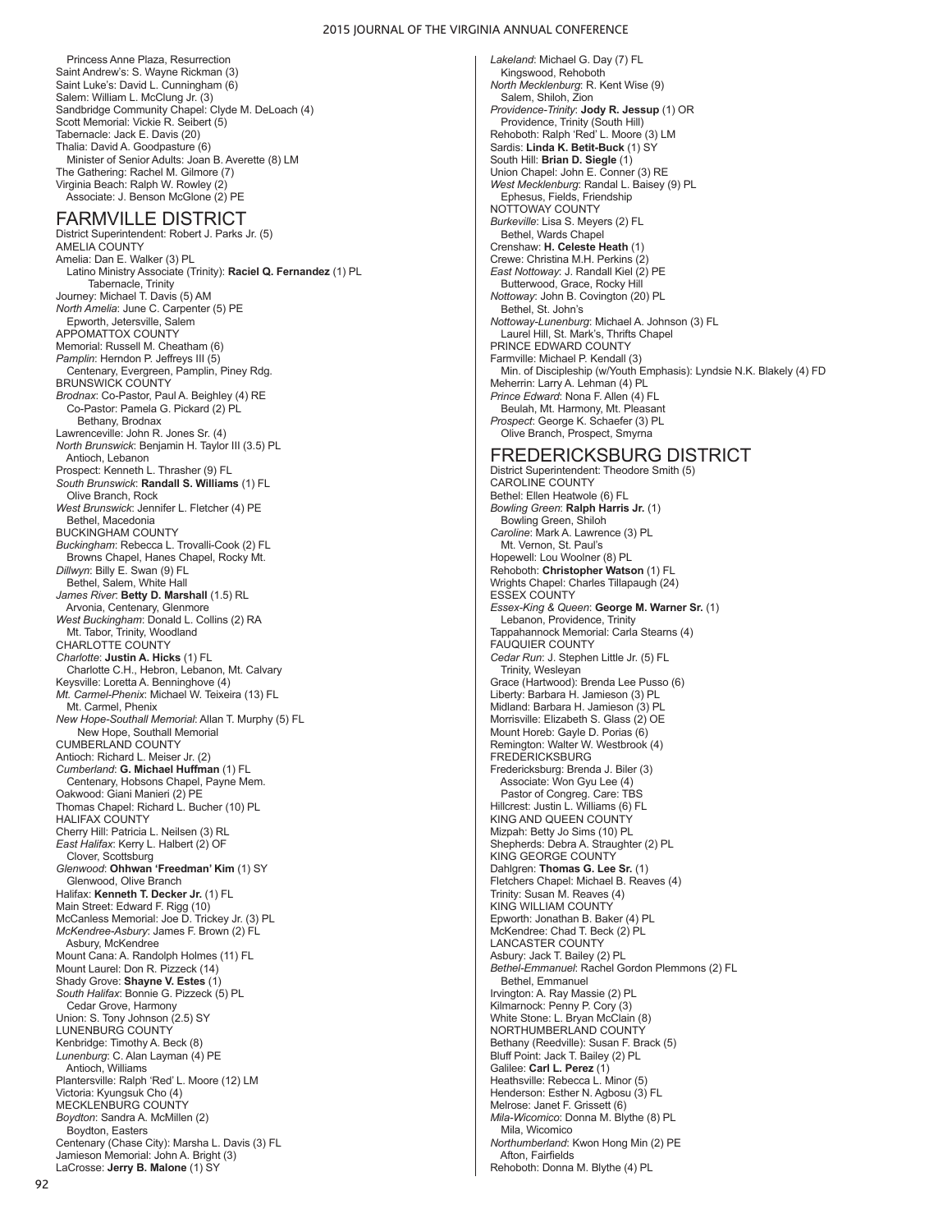Princess Anne Plaza, Resurrection Saint Andrew's: S. Wayne Rickman (3) Saint Luke's: David L. Cunningham (6) Salem: William L. McClung Jr. (3) Sandbridge Community Chapel: Clyde M. DeLoach (4) Scott Memorial: Vickie R. Seibert (5) Tabernacle: Jack E. Davis (20) Thalia: David A. Goodpasture (6) Minister of Senior Adults: Joan B. Averette (8) LM The Gathering: Rachel M. Gilmore (7) Virginia Beach: Ralph W. Rowley (2) Associate: J. Benson McGlone (2) PE

## FARMVILLE DISTRICT

District Superintendent: Robert J. Parks Jr. (5) AMELIA COUNTY Amelia: Dan E. Walker (3) PL Latino Ministry Associate (Trinity): **Raciel Q. Fernandez** (1) PL Tabernacle, Trinity Journey: Michael T. Davis (5) AM *North Amelia*: June C. Carpenter (5) PE Epworth, Jetersville, Salem APPOMATTOX COUNTY Memorial: Russell M. Cheatham (6) *Pamplin*: Herndon P. Jeffreys III (5) Centenary, Evergreen, Pamplin, Piney Rdg. BRUNSWICK COUNTY *Brodnax*: Co-Pastor, Paul A. Beighley (4) RE Co-Pastor: Pamela G. Pickard (2) PL Bethany, Brodnax Lawrenceville: John R. Jones Sr. (4) *North Brunswick*: Benjamin H. Taylor III (3.5) PL Antioch, Lebanon Prospect: Kenneth L. Thrasher (9) FL *South Brunswick*: **Randall S. Williams** (1) FL Olive Branch, Rock *West Brunswick*: Jennifer L. Fletcher (4) PE Bethel, Macedonia BUCKINGHAM COUNTY *Buckingham*: Rebecca L. Trovalli-Cook (2) FL Browns Chapel, Hanes Chapel, Rocky Mt. *Dillwyn*: Billy E. Swan (9) FL Bethel, Salem, White Hall *James River*: **Betty D. Marshall** (1.5) RL Arvonia, Centenary, Glenmore *West Buckingham*: Donald L. Collins (2) RA Mt. Tabor, Trinity, Woodland CHARLOTTE COUNTY *Charlotte*: **Justin A. Hicks** (1) FL Charlotte C.H., Hebron, Lebanon, Mt. Calvary Keysville: Loretta A. Benninghove (4) *Mt. Carmel-Phenix*: Michael W. Teixeira (13) FL Mt. Carmel, Phenix *New Hope-Southall Memorial*: Allan T. Murphy (5) FL New Hope, Southall Memorial CUMBERLAND COUNTY Antioch: Richard L. Meiser Jr. (2) *Cumberland*: **G. Michael Huffman** (1) FL Centenary, Hobsons Chapel, Payne Mem. Oakwood: Giani Manieri (2) PE Thomas Chapel: Richard L. Bucher (10) PL HALIFAX COUNTY Cherry Hill: Patricia L. Neilsen (3) RL *East Halifax*: Kerry L. Halbert (2) OF Clover, Scottsburg *Glenwood*: **Ohhwan 'Freedman' Kim** (1) SY Glenwood, Olive Branch Halifax: **Kenneth T. Decker Jr.** (1) FL Main Street: Edward F. Rigg (10) McCanless Memorial: Joe D. Trickey Jr. (3) PL *McKendree-Asbury*: James F. Brown (2) FL Asbury, McKendree Mount Cana: A. Randolph Holmes (11) FL Mount Laurel: Don R. Pizzeck (14) Shady Grove: **Shayne V. Estes** (1) *South Halifax*: Bonnie G. Pizzeck (5) PL Cedar Grove, Harmony Union: S. Tony Johnson (2.5) SY LUNENBURG COUNTY Kenbridge: Timothy A. Beck (8) *Lunenburg*: C. Alan Layman (4) PE Antioch, Williams Plantersville: Ralph 'Red' L. Moore (12) LM Victoria: Kyungsuk Cho (4) MECKLENBURG COUNTY *Boydton*: Sandra A. McMillen (2) Boydton, Easters Centenary (Chase City): Marsha L. Davis (3) FL Jamieson Memorial: John A. Bright (3) LaCrosse: **Jerry B. Malone** (1) SY

*Lakeland*: Michael G. Day (7) FL Kingswood, Rehoboth *North Mecklenburg*: R. Kent Wise (9) Salem, Shiloh, Zion *Providence-Trinity*: **Jody R. Jessup** (1) OR Providence, Trinity (South Hill) Rehoboth: Ralph 'Red' L. Moore (3) LM Sardis: **Linda K. Betit-Buck** (1) SY South Hill: **Brian D. Siegle** (1) Union Chapel: John E. Conner (3) RE *West Mecklenburg*: Randal L. Baisey (9) PL Ephesus, Fields, Friendship NOTTOWAY COUNTY *Burkeville*: Lisa S. Meyers (2) FL Bethel, Wards Chapel Crenshaw: **H. Celeste Heath** (1) Crewe: Christina M.H. Perkins (2) *East Nottoway*: J. Randall Kiel (2) PE Butterwood, Grace, Rocky Hill *Nottoway*: John B. Covington (20) PL Bethel, St. John's *Nottoway-Lunenburg*: Michael A. Johnson (3) FL Laurel Hill, St. Mark's, Thrifts Chapel PRINCE EDWARD COUNTY Farmville: Michael P. Kendall (3) Min. of Discipleship (w/Youth Emphasis): Lyndsie N.K. Blakely (4) FD Meherrin: Larry A. Lehman (4) PL *Prince Edward*: Nona F. Allen (4) FL Beulah, Mt. Harmony, Mt. Pleasant *Prospect*: George K. Schaefer (3) PL Olive Branch, Prospect, Smyrna

## FREDERICKSBURG DISTRICT

District Superintendent: Theodore Smith (5) CAROLINE COUNTY Bethel: Ellen Heatwole (6) FL *Bowling Green*: **Ralph Harris Jr.** (1) Bowling Green, Shiloh *Caroline*: Mark A. Lawrence (3) PL Mt. Vernon, St. Paul's Hopewell: Lou Woolner (8) PL Rehoboth: **Christopher Watson** (1) FL Wrights Chapel: Charles Tillapaugh (24) ESSEX COUNTY *Essex-King & Queen*: **George M. Warner Sr.** (1) Lebanon, Providence, Trinity Tappahannock Memorial: Carla Stearns (4) FAUQUIER COUNTY *Cedar Run*: J. Stephen Little Jr. (5) FL Trinity, Wesleyan Grace (Hartwood): Brenda Lee Pusso (6) Liberty: Barbara H. Jamieson (3) PL Midland: Barbara H. Jamieson (3) PL Morrisville: Elizabeth S. Glass (2) OE Mount Horeb: Gayle D. Porias (6) Remington: Walter W. Westbrook (4) FREDERICKSBURG Fredericksburg: Brenda J. Biler (3) Associate: Won Gyu Lee (4) Pastor of Congreg. Care: TBS Hillcrest: Justin L. Williams (6) FL KING AND QUEEN COUNTY Mizpah: Betty Jo Sims (10) PL Shepherds: Debra A. Straughter (2) PL KING GEORGE COUNTY Dahlgren: **Thomas G. Lee Sr.** (1) Fletchers Chapel: Michael B. Reaves (4) Trinity: Susan M. Reaves (4) KING WILLIAM COUNTY Epworth: Jonathan B. Baker (4) PL McKendree: Chad T. Beck (2) PL LANCASTER COUNTY Asbury: Jack T. Bailey (2) PL *Bethel-Emmanuel*: Rachel Gordon Plemmons (2) FL Bethel, Emmanuel Irvington: A. Ray Massie (2) PL Kilmarnock: Penny P. Cory (3) White Stone: L. Bryan McClain (8) NORTHUMBERLAND COUNTY Bethany (Reedville): Susan F. Brack (5) Bluff Point: Jack T. Bailey (2) PL Galilee: **Carl L. Perez** (1) Heathsville: Rebecca L. Minor (5) Henderson: Esther N. Agbosu (3) FL Melrose: Janet F. Grissett (6) *Mila-Wicomico*: Donna M. Blythe (8) PL Mila, Wicomico *Northumberland*: Kwon Hong Min (2) PE Afton, Fairfields Rehoboth: Donna M. Blythe (4) PL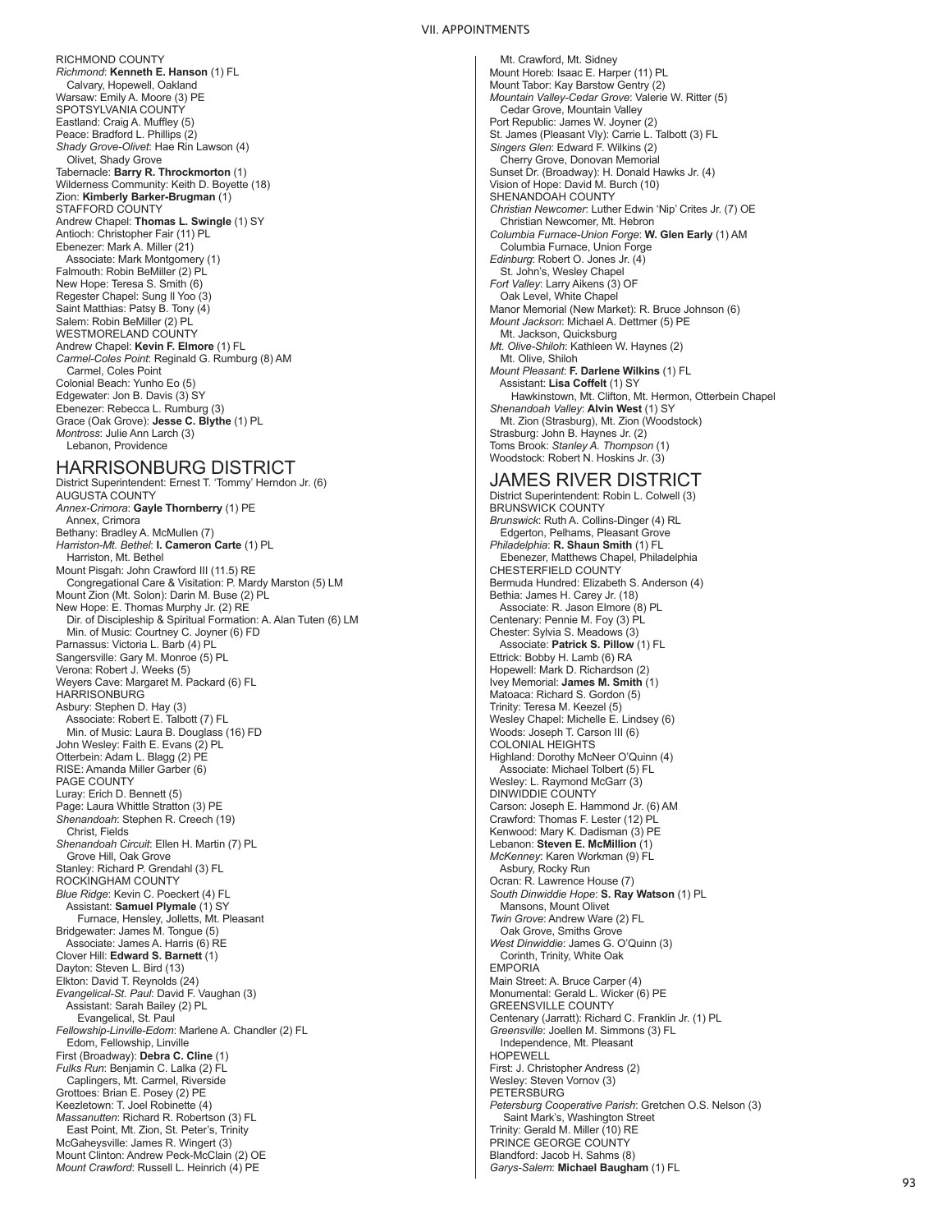RICHMOND COUNTY *Richmond*: **Kenneth E. Hanson** (1) FL Calvary, Hopewell, Oakland Warsaw: Emily A. Moore (3) PE SPOTSYLVANIA COUNTY Eastland: Craig A. Muffley (5) Peace: Bradford L. Phillips (2) *Shady Grove-Olivet*: Hae Rin Lawson (4) Olivet, Shady Grove Tabernacle: **Barry R. Throckmorton** (1) Wilderness Community: Keith D. Boyette (18) Zion: **Kimberly Barker-Brugman** (1) STAFFORD COUNTY Andrew Chapel: **Thomas L. Swingle** (1) SY Antioch: Christopher Fair (11) PL Ebenezer: Mark A. Miller (21) Associate: Mark Montgomery (1) Falmouth: Robin BeMiller (2) PL New Hope: Teresa S. Smith (6) Regester Chapel: Sung Il Yoo (3) Saint Matthias: Patsy B. Tony (4) Salem: Robin BeMiller (2) PL WESTMORELAND COUNTY Andrew Chapel: **Kevin F. Elmore** (1) FL *Carmel-Coles Point*: Reginald G. Rumburg (8) AM Carmel, Coles Point Colonial Beach: Yunho Eo (5) Edgewater: Jon B. Davis (3) SY Ebenezer: Rebecca L. Rumburg (3) Grace (Oak Grove): **Jesse C. Blythe** (1) PL *Montross*: Julie Ann Larch (3) Lebanon, Providence

# HARRISONBURG DISTRICT District Superintendent: Ernest T. 'Tommy' Herndon Jr. (6)

AUGUSTA COUNTY *Annex-Crimora*: **Gayle Thornberry** (1) PE Annex, Crimora Bethany: Bradley A. McMullen (7) *Harriston-Mt. Bethel* : **I. Cameron Carte** (1) PL Harriston, Mt. Bethel Mount Pisgah: John Crawford III (11.5) RE Congregational Care & Visitation: P. Mardy Marston (5) LM Mount Zion (Mt. Solon): Darin M. Buse (2) PL New Hope: E. Thomas Murphy Jr. (2) RE Dir. of Discipleship & Spiritual Formation: A. Alan Tuten (6) LM Min. of Music: Courtney C. Joyner (6) FD Parnassus: Victoria L. Barb (4) PL Sangersville: Gary M. Monroe (5) PL Verona: Robert J. Weeks (5) Weyers Cave: Margaret M. Packard (6) FL HARRISONBURG Asbury: Stephen D. Hay (3) Associate: Robert E. Talbott (7) FL Min. of Music: Laura B. Douglass (16) FD John Wesley: Faith E. Evans (2) PL Otterbein: Adam L. Blagg (2) PE RISE: Amanda Miller Garber (6) PAGE COUNTY Luray: Erich D. Bennett (5) Page: Laura Whittle Stratton (3) PE *Shenandoah*: Stephen R. Creech (19) Christ, Fields *Shenandoah Circuit*: Ellen H. Martin (7) PL Grove Hill, Oak Grove Stanley: Richard P. Grendahl (3) FL ROCKINGHAM COUNTY *Blue Ridge*: Kevin C. Poeckert (4) FL Assistant: **Samuel Plymale** (1) SY Furnace, Hensley, Jolletts, Mt. Pleasant Bridgewater: James M. Tongue (5) Associate: James A. Harris (6) RE Clover Hill: **Edward S. Barnett** (1) Dayton: Steven L. Bird (13) Elkton: David T. Reynolds (24) *Evangelical-St. Paul*: David F. Vaughan (3) Assistant: Sarah Bailey (2) PL Evangelical, St. Paul *Fellowship-Linville-Edom*: Marlene A. Chandler (2) FL Edom, Fellowship, Linville First (Broadway): **Debra C. Cline** (1) *Fulks Run*: Benjamin C. Lalka (2) FL Caplingers, Mt. Carmel, Riverside Grottoes: Brian E. Posey (2) PE Keezletown: T. Joel Robinette (4) *Massanutten*: Richard R. Robertson (3) FL East Point, Mt. Zion, St. Peter's, Trinity McGaheysville: James R. Wingert (3) Mount Clinton: Andrew Peck-McClain (2) OE *Mount Crawford*: Russell L. Heinrich (4) PE

Mt. Crawford, Mt. Sidney Mount Horeb: Isaac E. Harper (11) PL Mount Tabor: Kay Barstow Gentry (2) *Mountain Valley-Cedar Grove*: Valerie W. Ritter (5) Cedar Grove, Mountain Valley Port Republic: James W. Joyner (2) St. James (Pleasant Vly): Carrie L. Talbott (3) FL *Singers Glen*: Edward F. Wilkins (2) Cherry Grove, Donovan Memorial Sunset Dr. (Broadway): H. Donald Hawks Jr. (4) Vision of Hope: David M. Burch (10) SHENANDOAH COUNTY *Christian Newcomer*: Luther Edwin 'Nip' Crites Jr. (7) OE Christian Newcomer, Mt. Hebron *Columbia Furnace-Union Forge*: **W. Glen Early** (1) AM Columbia Furnace, Union Forge *Edinburg*: Robert O. Jones Jr. (4) St. John's, Wesley Chapel *Fort Valley*: Larry Aikens (3) OF Oak Level, White Chapel Manor Memorial (New Market): R. Bruce Johnson (6) *Mount Jackson*: Michael A. Dettmer (5) PE Mt. Jackson, Quicksburg *Mt. Olive-Shiloh*: Kathleen W. Haynes (2) Mt. Olive, Shiloh *Mount Pleasant* : **F. Darlene Wilkins** (1) FL Assistant: **Lisa Coffelt** (1) SY Hawkinstown, Mt. Clifton, Mt. Hermon, Otterbein Chapel *Shenandoah Valley*: **Alvin West** (1) SY Mt. Zion (Strasburg), Mt. Zion (Woodstock) Strasburg: John B. Haynes Jr. (2) Toms Brook: *Stanley A. Thompson* (1) Woodstock: Robert N. Hoskins Jr. (3)

## JAMES RIVER DISTRICT

District Superintendent: Robin L. Colwell (3) BRUNSWICK COUNTY *Brunswick*: Ruth A. Collins-Dinger (4) RL Edgerton, Pelhams, Pleasant Grove *Philadelphia*: **R. Shaun Smith** (1) FL Ebenezer, Matthews Chapel, Philadelphia CHESTERFIELD COUNTY Bermuda Hundred: Elizabeth S. Anderson (4) Bethia: James H. Carey Jr. (18) Associate: R. Jason Elmore (8) PL Centenary: Pennie M. Foy (3) PL Chester: Sylvia S. Meadows (3) Associate: **Patrick S. Pillow** (1) FL Ettrick: Bobby H. Lamb (6) RA Hopewell: Mark D. Richardson (2) Ivey Memorial: **James M. Smith** (1) Matoaca: Richard S. Gordon (5) Trinity: Teresa M. Keezel (5) Wesley Chapel: Michelle E. Lindsey (6) Woods: Joseph T. Carson III (6) COLONIAL HEIGHTS Highland: Dorothy McNeer O'Quinn (4) Associate: Michael Tolbert (5) FL Wesley: L. Raymond McGarr (3) DINWIDDIE COUNTY Carson: Joseph E. Hammond Jr. (6) AM Crawford: Thomas F. Lester (12) PL Kenwood: Mary K. Dadisman (3) PE Lebanon: **Steven E. McMillion** (1) *McKenney*: Karen Workman (9) FL Asbury, Rocky Run Ocran: R. Lawrence House (7) *South Dinwiddie Hope*: **S. Ray Watson** (1) PL Mansons, Mount Olivet *Twin Grove*: Andrew Ware (2) FL Oak Grove, Smiths Grove *West Dinwiddie*: James G. O'Quinn (3) Corinth, Trinity, White Oak EMPORIA Main Street: A. Bruce Carper (4) Monumental: Gerald L. Wicker (6) PE GREENSVILLE COUNTY Centenary (Jarratt): Richard C. Franklin Jr. (1) PL *Greensville*: Joellen M. Simmons (3) FL Independence, Mt. Pleasant **HOPEWELL** First: J. Christopher Andress (2) Wesley: Steven Vornov (3) **PETERSBURG** *Petersburg Cooperative Parish*: Gretchen O.S. Nelson (3) Saint Mark's, Washington Street Trinity: Gerald M. Miller (10) RE PRINCE GEORGE COUNTY Blandford: Jacob H. Sahms (8) *Garys-Salem*: **Michael Baugham** (1) FL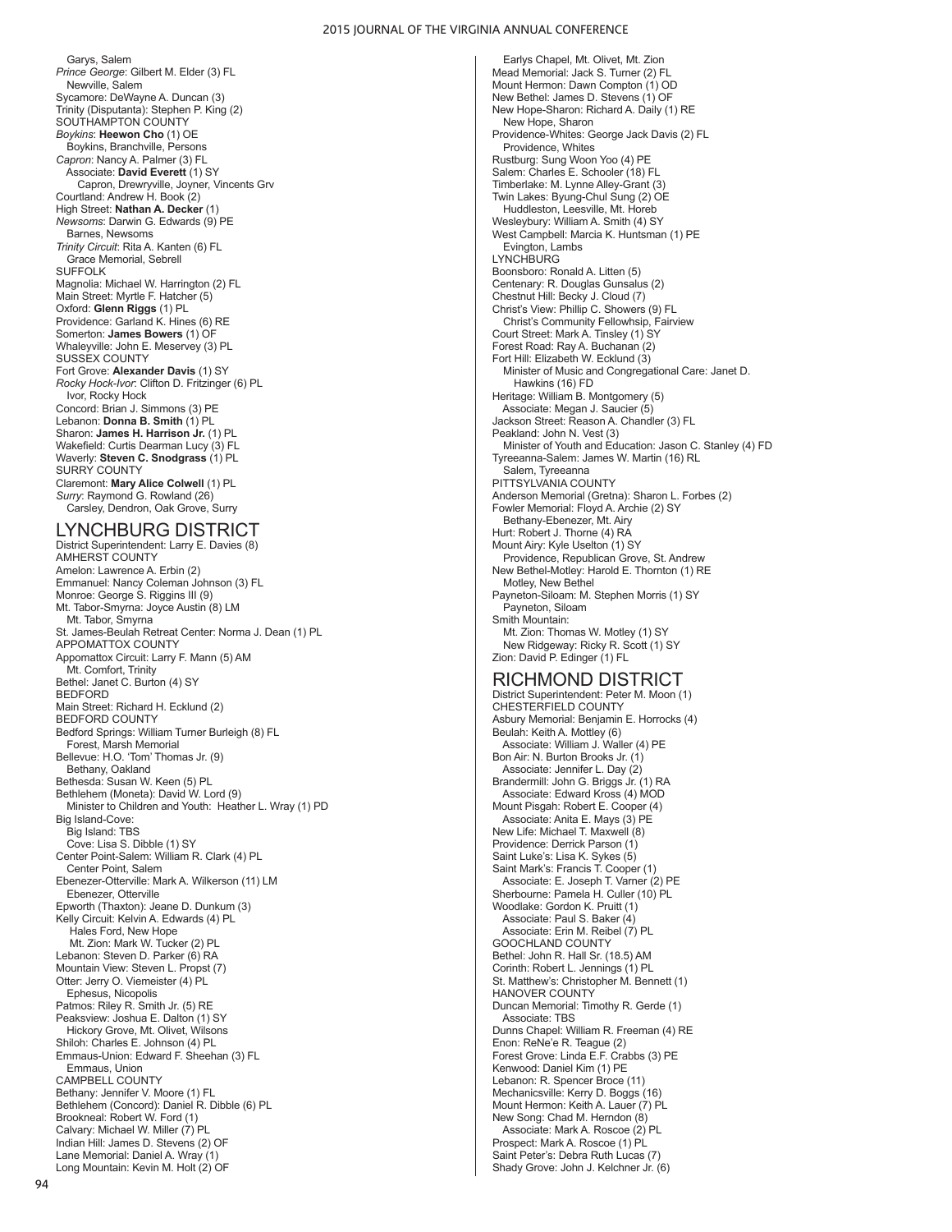Garys, Salem *Prince George*: Gilbert M. Elder (3) FL Newville, Salem Sycamore: DeWayne A. Duncan (3) Trinity (Disputanta): Stephen P. King (2) SOUTHAMPTON COUNTY *Boykins*: **Heewon Cho** (1) OE Boykins, Branchville, Persons *Capron*: Nancy A. Palmer (3) FL Associate: **David Everett** (1) SY Capron, Drewryville, Joyner, Vincents Grv Courtland: Andrew H. Book (2) High Street: **Nathan A. Decker** (1) *Newsoms*: Darwin G. Edwards (9) PE Barnes, Newsoms *Trinity Circuit*: Rita A. Kanten (6) FL Grace Memorial, Sebrell SUFFOLK Magnolia: Michael W. Harrington (2) FL Main Street: Myrtle F. Hatcher (5) Oxford: **Glenn Riggs** (1) PL Providence: Garland K. Hines (6) RE Somerton: **James Bowers** (1) OF Whaleyville: John E. Meservey (3) PL SUSSEX COUNTY Fort Grove: **Alexander Davis** (1) SY *Rocky Hock-Ivor*: Clifton D. Fritzinger (6) PL Ivor, Rocky Hock Concord: Brian J. Simmons (3) PE Lebanon: Donna B. Smith (1) PL Sharon: **James H. Harrison Jr.** (1) PL Wakefield: Curtis Dearman Lucy (3) FL Waverly: **Steven C. Snodgrass** (1) PL SURRY COUNTY Claremont: **Mary Alice Colwell** (1) PL *Surry*: Raymond G. Rowland (26) Carsley, Dendron, Oak Grove, Surry

# LYNCHBURG DISTRICT

District Superintendent: Larry E. Davies (8) AMHERST COUNTY Amelon: Lawrence A. Erbin (2) Emmanuel: Nancy Coleman Johnson (3) FL Monroe: George S. Riggins III (9) Mt. Tabor-Smyrna: Joyce Austin (8) LM Mt. Tabor, Smyrna St. James-Beulah Retreat Center: Norma J. Dean (1) PL APPOMATTOX COUNTY Appomattox Circuit: Larry F. Mann (5) AM Mt. Comfort, Trinity Bethel: Janet C. Burton (4) SY BEDFORD Main Street: Richard H. Ecklund (2) BEDFORD COUNTY Bedford Springs: William Turner Burleigh (8) FL Forest, Marsh Memorial Bellevue: H.O. 'Tom' Thomas Jr. (9) Bethany, Oakland Bethesda: Susan W. Keen (5) PL Bethlehem (Moneta): David W. Lord (9) Minister to Children and Youth: Heather L. Wray (1) PD Big Island-Cove: Big Island: TBS Cove: Lisa S. Dibble (1) SY Center Point-Salem: William R. Clark (4) PL Center Point, Salem Ebenezer-Otterville: Mark A. Wilkerson (11) LM Ebenezer, Otterville Epworth (Thaxton): Jeane D. Dunkum (3) Kelly Circuit: Kelvin A. Edwards (4) PL Hales Ford, New Hope Mt. Zion: Mark W. Tucker (2) PL Lebanon: Steven D. Parker (6) RA Mountain View: Steven L. Propst (7) Otter: Jerry O. Viemeister (4) PL Ephesus, Nicopolis Patmos: Riley R. Smith Jr. (5) RE Peaksview: Joshua E. Dalton (1) SY Hickory Grove, Mt. Olivet, Wilsons Shiloh: Charles E. Johnson (4) PL Emmaus-Union: Edward F. Sheehan (3) FL Emmaus, Union CAMPBELL COUNTY Bethany: Jennifer V. Moore (1) FL Bethlehem (Concord): Daniel R. Dibble (6) PL Brookneal: Robert W. Ford (1) Calvary: Michael W. Miller (7) PL Indian Hill: James D. Stevens (2) OF Lane Memorial: Daniel A. Wray (1) Long Mountain: Kevin M. Holt (2) OF

Earlys Chapel, Mt. Olivet, Mt. Zion Mead Memorial: Jack S. Turner (2) FL Mount Hermon: Dawn Compton (1) OD New Bethel: James D. Stevens (1) OF New Hope-Sharon: Richard A. Daily (1) RE New Hope, Sharon Providence-Whites: George Jack Davis (2) FL Providence, Whites Rustburg: Sung Woon Yoo (4) PE Salem: Charles E. Schooler (18) FL Timberlake: M. Lynne Alley-Grant (3) Twin Lakes: Byung-Chul Sung (2) OE Huddleston, Leesville, Mt. Horeb Wesleybury: William A. Smith (4) SY West Campbell: Marcia K. Huntsman (1) PE Evington, Lambs **LYNCHBURG** Boonsboro: Ronald A. Litten (5) Centenary: R. Douglas Gunsalus (2) Chestnut Hill: Becky J. Cloud (7) Christ's View: Phillip C. Showers (9) FL Christ's Community Fellowhsip, Fairview Court Street: Mark A. Tinsley (1) SY Forest Road: Ray A. Buchanan (2) Fort Hill: Elizabeth W. Ecklund (3) Minister of Music and Congregational Care: Janet D. Hawkins (16) FD Heritage: William B. Montgomery (5) Associate: Megan J. Saucier (5) Jackson Street: Reason A. Chandler (3) FL Peakland: John N. Vest (3) Minister of Youth and Education: Jason C. Stanley (4) FD Tyreeanna-Salem: James W. Martin (16) RL Salem, Tyreeanna PITTSYLVANIA COUNTY Anderson Memorial (Gretna): Sharon L. Forbes (2) Fowler Memorial: Floyd A. Archie (2) SY Bethany-Ebenezer, Mt. Airy Hurt: Robert J. Thorne (4) RA Mount Airy: Kyle Uselton (1) SY Providence, Republican Grove, St. Andrew New Bethel-Motley: Harold E. Thornton (1) RE Motley, New Bethel Payneton-Siloam: M. Stephen Morris (1) SY Payneton, Siloam Smith Mountain: Mt. Zion: Thomas W. Motley (1) SY New Ridgeway: Ricky R. Scott (1) SY Zion: David P. Edinger (1) FL

## RICHMOND DISTRICT

District Superintendent: Peter M. Moon (1) CHESTERFIELD COUNTY Asbury Memorial: Benjamin E. Horrocks (4) Beulah: Keith A. Mottley (6) Associate: William J. Waller (4) PE Bon Air: N. Burton Brooks Jr. (1) Associate: Jennifer L. Day (2) Brandermill: John G. Briggs Jr. (1) RA Associate: Edward Kross (4) MOD Mount Pisgah: Robert E. Cooper (4) Associate: Anita E. Mays (3) PE New Life: Michael T. Maxwell (8) Providence: Derrick Parson (1) Saint Luke's: Lisa K. Sykes (5) Saint Mark's: Francis T. Cooper (1) Associate: E. Joseph T. Varner (2) PE Sherbourne: Pamela H. Culler (10) PL Woodlake: Gordon K. Pruitt (1) Associate: Paul S. Baker (4) Associate: Erin M. Reibel (7) PL GOOCHLAND COUNTY Bethel: John R. Hall Sr. (18.5) AM Corinth: Robert L. Jennings (1) PL St. Matthew's: Christopher M. Bennett (1) HANOVER COUNTY Duncan Memorial: Timothy R. Gerde (1) Associate: TBS Dunns Chapel: William R. Freeman (4) RE Enon: ReNe'e R. Teague (2) Forest Grove: Linda E.F. Crabbs (3) PE Kenwood: Daniel Kim (1) PE Lebanon: R. Spencer Broce (11) Mechanicsville: Kerry D. Boggs (16) Mount Hermon: Keith A. Lauer (7) PL New Song: Chad M. Herndon (8) Associate: Mark A. Roscoe (2) PL Prospect: Mark A. Roscoe (1) PL Saint Peter's: Debra Ruth Lucas (7) Shady Grove: John J. Kelchner Jr. (6)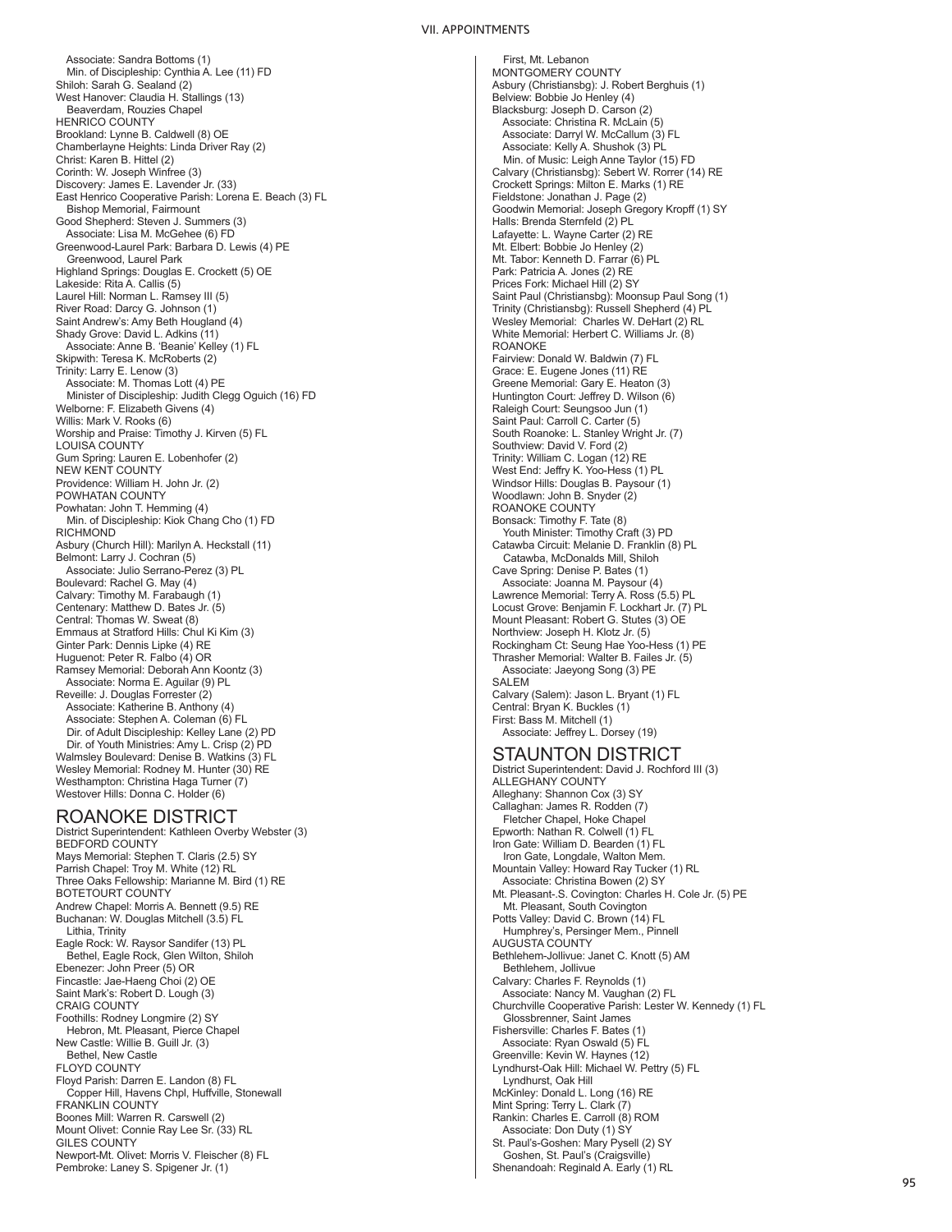#### VII. APPOINTMENTS

Associate: Sandra Bottoms (1) Min. of Discipleship: Cynthia A. Lee (11) FD Shiloh: Sarah G. Sealand (2) West Hanover: Claudia H. Stallings (13) Beaverdam, Rouzies Chapel HENRICO COUNTY Brookland: Lynne B. Caldwell (8) OE Chamberlayne Heights: Linda Driver Ray (2) Christ: Karen B. Hittel (2) Corinth: W. Joseph Winfree (3) Discovery: James E. Lavender Jr. (33) East Henrico Cooperative Parish: Lorena E. Beach (3) FL Bishop Memorial, Fairmount Good Shepherd: Steven J. Summers (3) Associate: Lisa M. McGehee (6) FD Greenwood-Laurel Park: Barbara D. Lewis (4) PE Greenwood, Laurel Park Highland Springs: Douglas E. Crockett (5) OE Lakeside: Rita A. Callis (5) Laurel Hill: Norman L. Ramsey III (5) River Road: Darcy G. Johnson (1) Saint Andrew's: Amy Beth Hougland (4) Shady Grove: David L. Adkins (11) Associate: Anne B. 'Beanie' Kelley (1) FL Skipwith: Teresa K. McRoberts (2) Trinity: Larry E. Lenow (3) Associate: M. Thomas Lott (4) PE Minister of Discipleship: Judith Clegg Oguich (16) FD Welborne: F. Elizabeth Givens (4) Willis: Mark V. Rooks (6) Worship and Praise: Timothy J. Kirven (5) FL LOUISA COUNTY Gum Spring: Lauren E. Lobenhofer (2) NEW KENT COUNTY Providence: William H. John Jr. (2) POWHATAN COUNTY Powhatan: John T. Hemming (4) Min. of Discipleship: Kiok Chang Cho (1) FD RICHMOND Asbury (Church Hill): Marilyn A. Heckstall (11) Belmont: Larry J. Cochran (5) Associate: Julio Serrano-Perez (3) PL Boulevard: Rachel G. May (4) Calvary: Timothy M. Farabaugh (1) Centenary: Matthew D. Bates Jr. (5) Central: Thomas W. Sweat (8) Emmaus at Stratford Hills: Chul Ki Kim (3) Ginter Park: Dennis Lipke (4) RE Huguenot: Peter R. Falbo (4) OR Ramsey Memorial: Deborah Ann Koontz (3) Associate: Norma E. Aguilar (9) PL Reveille: J. Douglas Forrester (2) Associate: Katherine B. Anthony (4) Associate: Stephen A. Coleman (6) FL Dir. of Adult Discipleship: Kelley Lane (2) PD Dir. of Youth Ministries: Amy L. Crisp (2) PD Walmsley Boulevard: Denise B. Watkins (3) FL Wesley Memorial: Rodney M. Hunter (30) RE Westhampton: Christina Haga Turner (7) Westover Hills: Donna C. Holder (6)

## ROANOKE DISTRICT

District Superintendent: Kathleen Overby Webster (3) BEDFORD COUNTY Mays Memorial: Stephen T. Claris (2.5) SY Parrish Chapel: Troy M. White (12) RL Three Oaks Fellowship: Marianne M. Bird (1) RE BOTETOURT COUNTY Andrew Chapel: Morris A. Bennett (9.5) RE Buchanan: W. Douglas Mitchell (3.5) FL Lithia, Trinity Eagle Rock: W. Raysor Sandifer (13) PL Bethel, Eagle Rock, Glen Wilton, Shiloh Ebenezer: John Preer (5) OR Fincastle: Jae-Haeng Choi (2) OE Saint Mark's: Robert D. Lough (3) CRAIG COUNTY Foothills: Rodney Longmire (2) SY Hebron, Mt. Pleasant, Pierce Chapel New Castle: Willie B. Guill Jr. (3) Bethel, New Castle FLOYD COUNTY Floyd Parish: Darren E. Landon (8) FL Copper Hill, Havens Chpl, Huffville, Stonewall FRANKLIN COUNTY Boones Mill: Warren R. Carswell (2) Mount Olivet: Connie Ray Lee Sr. (33) RL GILES COUNTY Newport-Mt. Olivet: Morris V. Fleischer (8) FL Pembroke: Laney S. Spigener Jr. (1)

First, Mt. Lebanon MONTGOMERY COUNTY Asbury (Christiansbg): J. Robert Berghuis (1) Belview: Bobbie Jo Henley (4) Blacksburg: Joseph D. Carson (2) Associate: Christina R. McLain (5) Associate: Darryl W. McCallum (3) FL Associate: Kelly A. Shushok (3) PL Min. of Music: Leigh Anne Taylor (15) FD Calvary (Christiansbg): Sebert W. Rorrer (14) RE Crockett Springs: Milton E. Marks (1) RE Fieldstone: Jonathan J. Page (2) Goodwin Memorial: Joseph Gregory Kropff (1) SY Halls: Brenda Sternfeld (2) PL Lafayette: L. Wayne Carter (2) RE Mt. Elbert: Bobbie Jo Henley (2) Mt. Tabor: Kenneth D. Farrar (6) PL Park: Patricia A. Jones (2) RE Prices Fork: Michael Hill (2) SY Saint Paul (Christiansbg): Moonsup Paul Song (1) Trinity (Christiansbg): Russell Shepherd (4) PL Wesley Memorial: Charles W. DeHart (2) RL White Memorial: Herbert C. Williams Jr. (8) ROANOKE Fairview: Donald W. Baldwin (7) FL Grace: E. Eugene Jones (11) RE Greene Memorial: Gary E. Heaton (3) Huntington Court: Jeffrey D. Wilson (6) Raleigh Court: Seungsoo Jun (1) Saint Paul: Carroll C. Carter (5) South Roanoke: L. Stanley Wright Jr. (7) Southview: David V. Ford (2) Trinity: William C. Logan (12) RE West End: Jeffry K. Yoo-Hess (1) PL Windsor Hills: Douglas B. Paysour (1) Woodlawn: John B. Snyder (2) ROANOKE COUNTY Bonsack: Timothy F. Tate (8) Youth Minister: Timothy Craft (3) PD Catawba Circuit: Melanie D. Franklin (8) PL Catawba, McDonalds Mill, Shiloh Cave Spring: Denise P. Bates (1) Associate: Joanna M. Paysour (4) Lawrence Memorial: Terry A. Ross (5.5) PL Locust Grove: Benjamin F. Lockhart Jr. (7) PL Mount Pleasant: Robert G. Stutes (3) OE Northview: Joseph H. Klotz Jr. (5) Rockingham Ct: Seung Hae Yoo-Hess (1) PE Thrasher Memorial: Walter B. Failes Jr. (5) Associate: Jaeyong Song (3) PE SALEM Calvary (Salem): Jason L. Bryant (1) FL Central: Bryan K. Buckles (1) First: Bass M. Mitchell (1) Associate: Jeffrey L. Dorsey (19)

## STAUNTON DISTRICT

District Superintendent: David J. Rochford III (3) ALLEGHANY COUNTY Alleghany: Shannon Cox (3) SY Callaghan: James R. Rodden (7) Fletcher Chapel, Hoke Chapel Epworth: Nathan R. Colwell (1) FL Iron Gate: William D. Bearden (1) FL Iron Gate, Longdale, Walton Mem. Mountain Valley: Howard Ray Tucker (1) RL Associate: Christina Bowen (2) SY Mt. Pleasant-.S. Covington: Charles H. Cole Jr. (5) PE Mt. Pleasant, South Covington Potts Valley: David C. Brown (14) FL Humphrey's, Persinger Mem., Pinnell AUGUSTA COUNTY Bethlehem-Jollivue: Janet C. Knott (5) AM Bethlehem, Jollivue Calvary: Charles F. Reynolds (1) Associate: Nancy M. Vaughan (2) FL Churchville Cooperative Parish: Lester W. Kennedy (1) FL Glossbrenner, Saint James Fishersville: Charles F. Bates (1) Associate: Ryan Oswald (5) FL Greenville: Kevin W. Haynes (12) Lyndhurst-Oak Hill: Michael W. Pettry (5) FL Lyndhurst, Oak Hill McKinley: Donald L. Long (16) RE Mint Spring: Terry L. Clark (7) Rankin: Charles E. Carroll (8) ROM Associate: Don Duty (1) SY St. Paul's-Goshen: Mary Pysell (2) SY Goshen, St. Paul's (Craigsville) Shenandoah: Reginald A. Early (1) RL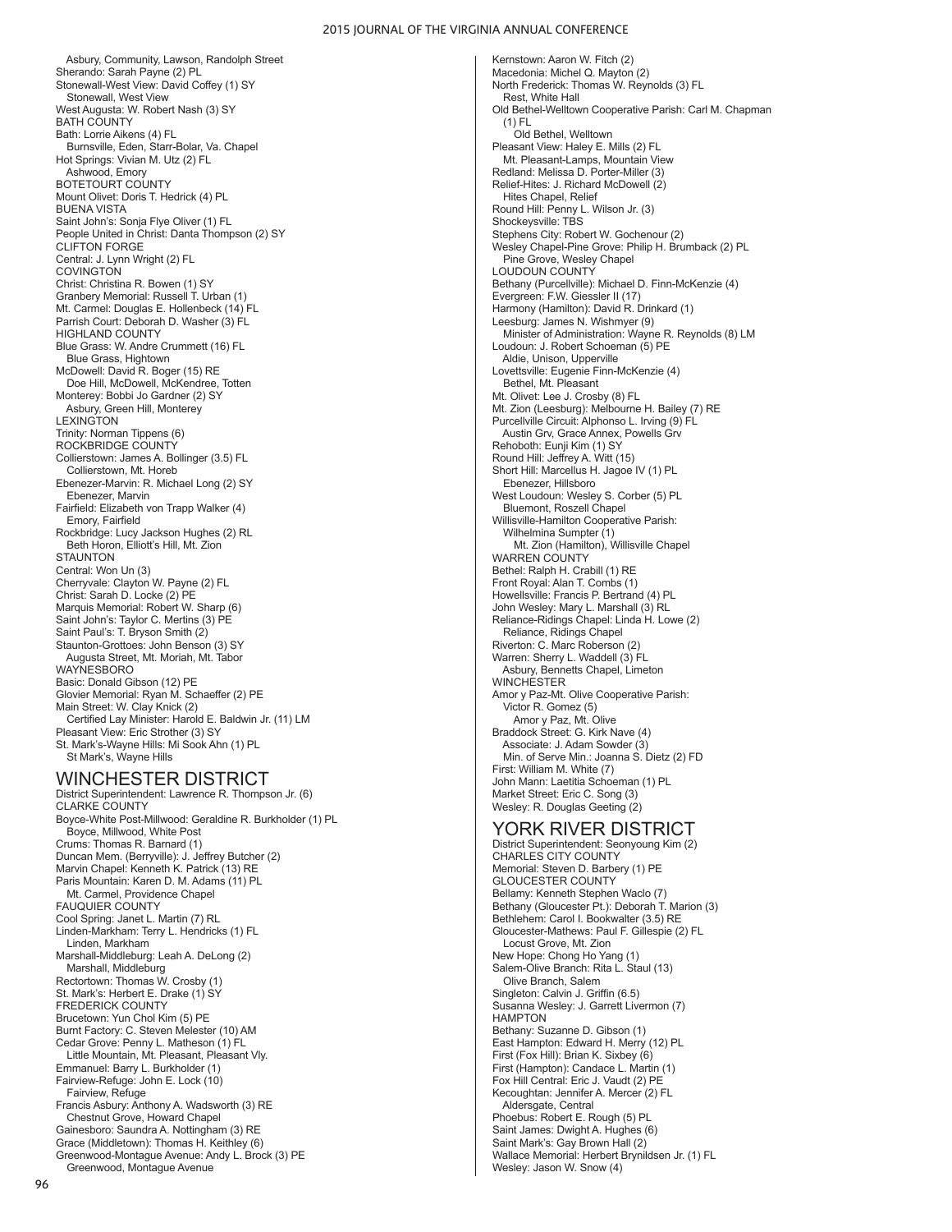Asbury, Community, Lawson, Randolph Street Sherando: Sarah Payne (2) PL Stonewall-West View: David Coffey (1) SY Stonewall, West View West Augusta: W. Robert Nash (3) SY BATH COUNTY Bath: Lorrie Aikens (4) FL Burnsville, Eden, Starr-Bolar, Va. Chapel Hot Springs: Vivian M. Utz (2) FL Ashwood, Emory BOTETOURT COUNTY Mount Olivet: Doris T. Hedrick (4) PL BUENA VISTA Saint John's: Sonja Flye Oliver (1) FL People United in Christ: Danta Thompson (2) SY CLIFTON FORGE Central: J. Lynn Wright (2) FL **COVINGTON** Christ: Christina R. Bowen (1) SY Granbery Memorial: Russell T. Urban (1) Mt. Carmel: Douglas E. Hollenbeck (14) FL Parrish Court: Deborah D. Washer (3) FL HIGHLAND COUNTY Blue Grass: W. Andre Crummett (16) FL Blue Grass, Hightown McDowell: David R. Boger (15) RE Doe Hill, McDowell, McKendree, Totten Monterey: Bobbi Jo Gardner (2) SY Asbury, Green Hill, Monterey LEXINGTON Trinity: Norman Tippens (6) ROCKBRIDGE COUNTY Collierstown: James A. Bollinger (3.5) FL Collierstown, Mt. Horeb Ebenezer-Marvin: R. Michael Long (2) SY Ebenezer, Marvin Fairfield: Elizabeth von Trapp Walker (4) Emory, Fairfield Rockbridge: Lucy Jackson Hughes (2) RL Beth Horon, Elliott's Hill, Mt. Zion **STAUNTON** Central: Won Un (3) Cherryvale: Clayton W. Payne (2) FL Christ: Sarah D. Locke (2) PE Marquis Memorial: Robert W. Sharp (6) Saint John's: Taylor C. Mertins (3) PE Saint Paul's: T. Bryson Smith (2) Staunton-Grottoes: John Benson (3) SY Augusta Street, Mt. Moriah, Mt. Tabor WAYNESBORO Basic: Donald Gibson (12) PE Glovier Memorial: Ryan M. Schaeffer (2) PE Main Street: W. Clay Knick (2) Certified Lay Minister: Harold E. Baldwin Jr. (11) LM Pleasant View: Eric Strother (3) SY St. Mark's-Wayne Hills: Mi Sook Ahn (1) PL St Mark's, Wayne Hills

## WINCHESTER DISTRICT

District Superintendent: Lawrence R. Thompson Jr. (6) CLARKE COUNTY Boyce-White Post-Millwood: Geraldine R. Burkholder (1) PL Boyce, Millwood, White Post Crums: Thomas R. Barnard (1) Duncan Mem. (Berryville): J. Jeffrey Butcher (2) Marvin Chapel: Kenneth K. Patrick (13) RE Paris Mountain: Karen D. M. Adams (11) PL Mt. Carmel, Providence Chapel FAUQUIER COUNTY Cool Spring: Janet L. Martin (7) RL Linden-Markham: Terry L. Hendricks (1) FL Linden, Markham Marshall-Middleburg: Leah A. DeLong (2) Marshall, Middleburg Rectortown: Thomas W. Crosby (1) St. Mark's: Herbert E. Drake (1) SY FREDERICK COUNTY Brucetown: Yun Chol Kim (5) PE Burnt Factory: C. Steven Melester (10) AM Cedar Grove: Penny L. Matheson (1) FL Little Mountain, Mt. Pleasant, Pleasant Vly. Emmanuel: Barry L. Burkholder (1) Fairview-Refuge: John E. Lock (10) Fairview, Refuge Francis Asbury: Anthony A. Wadsworth (3) RE Chestnut Grove, Howard Chapel Gainesboro: Saundra A. Nottingham (3) RE Grace (Middletown): Thomas H. Keithley (6) Greenwood-Montague Avenue: Andy L. Brock (3) PE Greenwood, Montague Avenue

Kernstown: Aaron W. Fitch (2) Macedonia: Michel Q. Mayton (2) North Frederick: Thomas W. Reynolds (3) FL Rest, White Hall Old Bethel-Welltown Cooperative Parish: Carl M. Chapman (1) FL Old Bethel, Welltown Pleasant View: Haley E. Mills (2) FL Mt. Pleasant-Lamps, Mountain View Redland: Melissa D. Porter-Miller (3) Relief-Hites: J. Richard McDowell (2) Hites Chapel, Relief Round Hill: Penny L. Wilson Jr. (3) Shockeysville: TBS Stephens City: Robert W. Gochenour (2) Wesley Chapel-Pine Grove: Philip H. Brumback (2) PL Pine Grove, Wesley Chapel LOUDOUN COUNTY Bethany (Purcellville): Michael D. Finn-McKenzie (4) Evergreen: F.W. Giessler II (17) Harmony (Hamilton): David R. Drinkard (1) Leesburg: James N. Wishmyer (9) Minister of Administration: Wayne R. Reynolds (8) LM Loudoun: J. Robert Schoeman (5) PE Aldie, Unison, Upperville Lovettsville: Eugenie Finn-McKenzie (4) Bethel, Mt. Pleasant Mt. Olivet: Lee J. Crosby (8) FL Mt. Zion (Leesburg): Melbourne H. Bailey (7) RE Purcellville Circuit: Alphonso L. Irving (9) FL Austin Grv, Grace Annex, Powells Grv Rehoboth: Eunji Kim (1) SY Round Hill: Jeffrey A. Witt (15) Short Hill: Marcellus H. Jagoe IV (1) PL Ebenezer, Hillsboro West Loudoun: Wesley S. Corber (5) PL Bluemont, Roszell Chapel Willisville-Hamilton Cooperative Parish: Wilhelmina Sumpter (1) Mt. Zion (Hamilton), Willisville Chapel WARREN COUNTY Bethel: Ralph H. Crabill (1) RE Front Royal: Alan T. Combs (1) Howellsville: Francis P. Bertrand (4) PL John Wesley: Mary L. Marshall (3) RL Reliance-Ridings Chapel: Linda H. Lowe (2) Reliance, Ridings Chapel Riverton: C. Marc Roberson (2) Warren: Sherry L. Waddell (3) FL Asbury, Bennetts Chapel, Limeton **WINCHESTER** Amor y Paz-Mt. Olive Cooperative Parish: Victor R. Gomez (5) Amor y Paz, Mt. Olive Braddock Street: G. Kirk Nave (4) Associate: J. Adam Sowder (3) Min. of Serve Min.: Joanna S. Dietz (2) FD First: William M. White (7) John Mann: Laetitia Schoeman (1) PL Market Street: Eric C. Song (3) Wesley: R. Douglas Geeting (2)

## YORK RIVER DISTRICT

District Superintendent: Seonyoung Kim (2) CHARLES CITY COUNTY Memorial: Steven D. Barbery (1) PE GLOUCESTER COUNTY Bellamy: Kenneth Stephen Waclo (7) Bethany (Gloucester Pt.): Deborah T. Marion (3) Bethlehem: Carol I. Bookwalter (3.5) RE Gloucester-Mathews: Paul F. Gillespie (2) FL Locust Grove, Mt. Zion New Hope: Chong Ho Yang (1) Salem-Olive Branch: Rita L. Staul (13) Olive Branch, Salem Singleton: Calvin J. Griffin (6.5) Susanna Wesley: J. Garrett Livermon (7) HAMPTON Bethany: Suzanne D. Gibson (1) East Hampton: Edward H. Merry (12) PL First (Fox Hill): Brian K. Sixbey (6) First (Hampton): Candace L. Martin (1) Fox Hill Central: Eric J. Vaudt (2) PE Kecoughtan: Jennifer A. Mercer (2) FL Aldersgate, Central Phoebus: Robert E. Rough (5) PL Saint James: Dwight A. Hughes (6) Saint Mark's: Gay Brown Hall (2) Wallace Memorial: Herbert Brynildsen Jr. (1) FL Wesley: Jason W. Snow (4)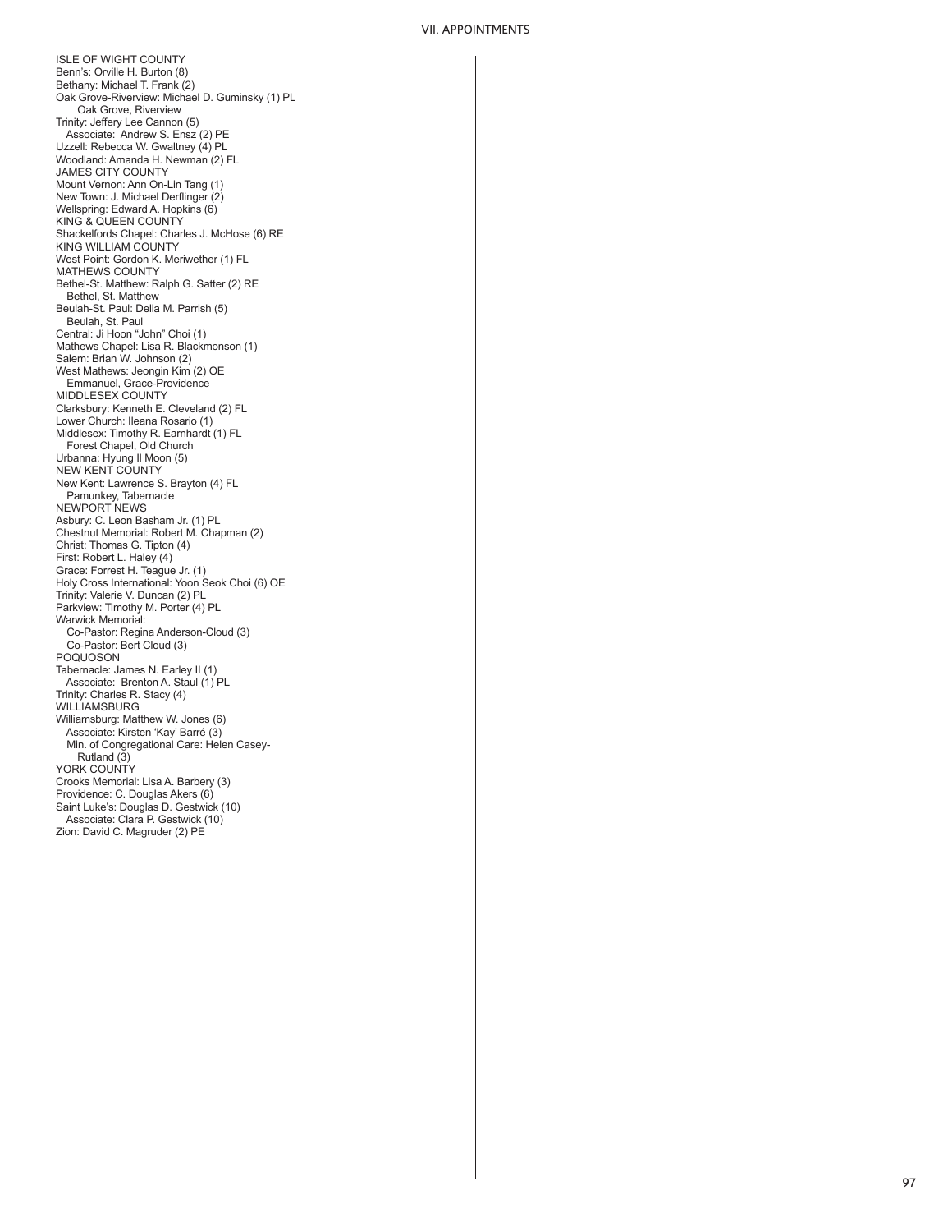ISLE OF WIGHT COUNTY Benn's: Orville H. Burton (8) Bethany: Michael T. Frank (2) Oak Grove-Riverview: Michael D. Guminsky (1) PL Oak Grove, Riverview Trinity: Jeffery Lee Cannon (5) Associate: Andrew S. Ensz (2) PE Uzzell: Rebecca W. Gwaltney (4) PL Woodland: Amanda H. Newman (2) FL JAMES CITY COUNTY Mount Vernon: Ann On-Lin Tang (1) New Town: J. Michael Derflinger (2) Wellspring: Edward A. Hopkins (6) KING & QUEEN COUNTY Shackelfords Chapel: Charles J. McHose (6) RE KING WILLIAM COUNTY West Point: Gordon K. Meriwether (1) FL MATHEWS COUNTY Bethel-St. Matthew: Ralph G. Satter (2) RE Bethel, St. Matthew Beulah-St. Paul: Delia M. Parrish (5) Beulah, St. Paul Central: Ji Hoon "John" Choi (1) Mathews Chapel: Lisa R. Blackmonson (1) Salem: Brian W. Johnson (2) West Mathews: Jeongin Kim (2) OE Emmanuel, Grace-Providence MIDDLESEX COUNTY Clarksbury: Kenneth E. Cleveland (2) FL Lower Church: Ileana Rosario (1) Middlesex: Timothy R. Earnhardt (1) FL Forest Chapel, Old Church Urbanna: Hyung Il Moon (5) NEW KENT COUNTY New Kent: Lawrence S. Brayton (4) FL Pamunkey, Tabernacle NEWPORT NEWS Asbury: C. Leon Basham Jr. (1) PL Chestnut Memorial: Robert M. Chapman (2) Christ: Thomas G. Tipton (4) First: Robert L. Haley (4) Grace: Forrest H. Teague Jr. (1) Holy Cross International: Yoon Seok Choi (6) OE Trinity: Valerie V. Duncan (2) PL Parkview: Timothy M. Porter (4) PL Warwick Memorial: Co-Pastor: Regina Anderson-Cloud (3) Co-Pastor: Bert Cloud (3) POQUOSON Tabernacle: James N. Earley II (1) Associate: Brenton A. Staul (1) PL Trinity: Charles R. Stacy (4) WILLIAMSBURG Williamsburg: Matthew W. Jones (6) Associate: Kirsten 'Kay' Barré (3) Min. of Congregational Care: Helen Casey- Rutland (3) YORK COUNTY Crooks Memorial: Lisa A. Barbery (3) Providence: C. Douglas Akers (6) Saint Luke's: Douglas D. Gestwick (10) Associate: Clara P. Gestwick (10) Zion: David C. Magruder (2) PE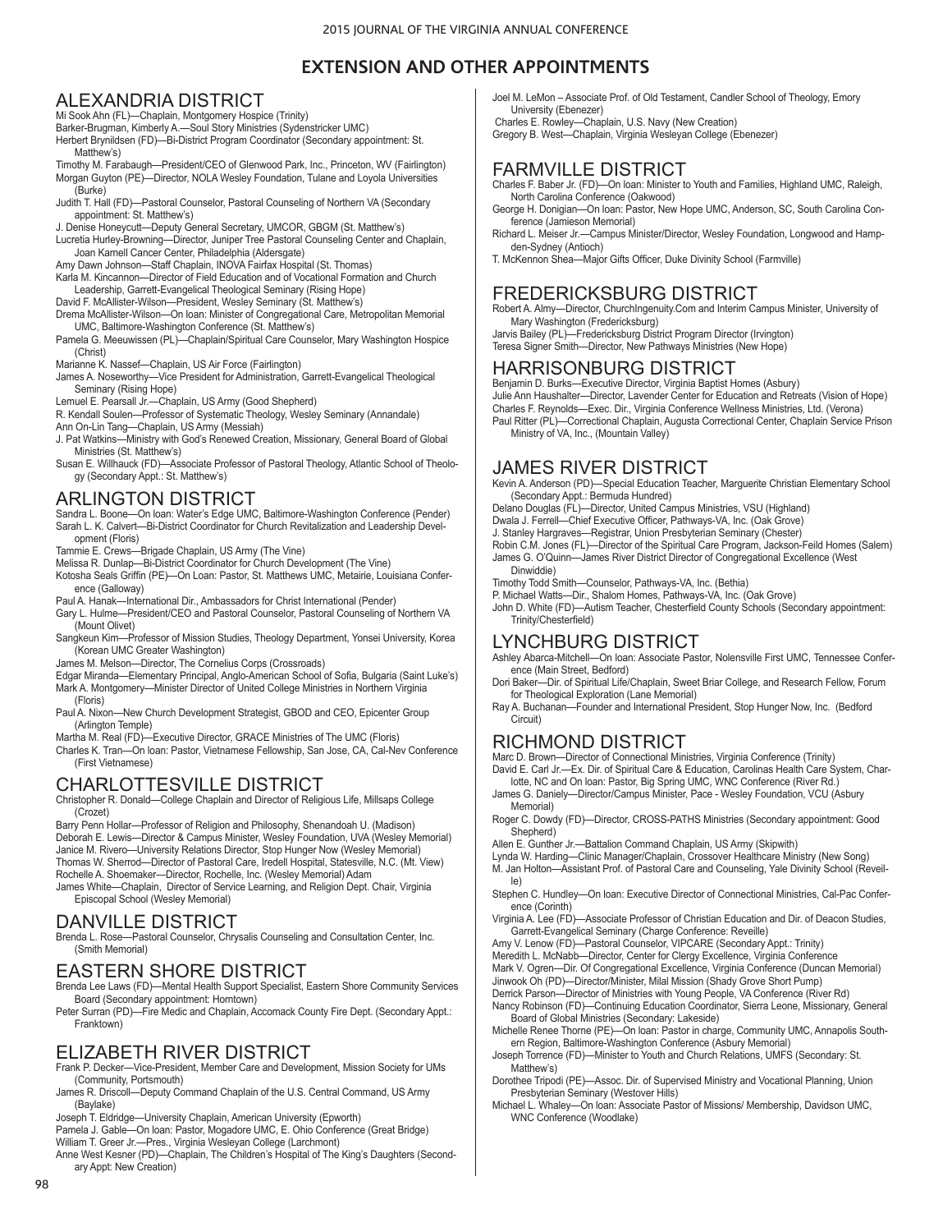# **EXTENSION AND OTHER APPOINTMENTS**

# ALEXANDRIA DISTRICT

Mi Sook Ahn (FL)—Chaplain, Montgomery Hospice (Trinity)

Barker-Brugman, Kimberly A.—Soul Story Ministries (Sydenstricker UMC) Herbert Brynildsen (FD)—Bi-District Program Coordinator (Secondary appointment: St.

Matthew's)

Timothy M. Farabaugh—President/CEO of Glenwood Park, Inc., Princeton, WV (Fairlington) Morgan Guyton (PE)—Director, NOLA Wesley Foundation, Tulane and Loyola Universities (Burke)

Judith T. Hall (FD)—Pastoral Counselor, Pastoral Counseling of Northern VA (Secondary appointment: St. Matthew's)

J. Denise Honeycutt—Deputy General Secretary, UMCOR, GBGM (St. Matthew's) Lucretia Hurley-Browning—Director, Juniper Tree Pastoral Counseling Center and Chaplain,

Joan Karnell Cancer Center, Philadelphia (Aldersgate) Amy Dawn Johnson—Staff Chaplain, INOVA Fairfax Hospital (St. Thomas)

Karla M. Kincannon—Director of Field Education and of Vocational Formation and Church Leadership, Garrett-Evangelical Theological Seminary (Rising Hope)

David F. McAllister-Wilson—President, Wesley Seminary (St. Matthew's)

- Drema McAllister-Wilson—On loan: Minister of Congregational Care, Metropolitan Memorial UMC, Baltimore-Washington Conference (St. Matthew's)
- Pamela G. Meeuwissen (PL)—Chaplain/Spiritual Care Counselor, Mary Washington Hospice (Christ)

Marianne K. Nassef—Chaplain, US Air Force (Fairlington)

James A. Noseworthy—Vice President for Administration, Garrett-Evangelical Theological Seminary (Rising Hope)

Lemuel E. Pearsall Jr.—Chaplain, US Army (Good Shepherd)

R. Kendall Soulen—Professor of Systematic Theology, Wesley Seminary (Annandale)

Ann On-Lin Tang—Chaplain, US Army (Messiah) J. Pat Watkins—Ministry with God's Renewed Creation, Missionary, General Board of Global

- Ministries (St. Matthew's)
- Susan E. Willhauck (FD)—Associate Professor of Pastoral Theology, Atlantic School of Theology (Secondary Appt.: St. Matthew's)

# ARLINGTON DISTRICT

Sandra L. Boone—On loan: Water's Edge UMC, Baltimore-Washington Conference (Pender) Sarah L. K. Calvert—Bi-District Coordinator for Church Revitalization and Leadership Development (Floris)

Tammie E. Crews—Brigade Chaplain, US Army (The Vine)

Melissa R. Dunlap—Bi-District Coordinator for Church Development (The Vine)

- Kotosha Seals Griffin (PE)—On Loan: Pastor, St. Matthews UMC, Metairie, Louisiana Conference (Galloway)
- Paul A. Hanak—International Dir., Ambassadors for Christ International (Pender)
- Gary L. Hulme—President/CEO and Pastoral Counselor, Pastoral Counseling of Northern VA (Mount Olivet)
- Sangkeun Kim—Professor of Mission Studies, Theology Department, Yonsei University, Korea (Korean UMC Greater Washington)

James M. Melson—Director, The Cornelius Corps (Crossroads)

Edgar Miranda—Elementary Principal, Anglo-American School of Sofia, Bulgaria (Saint Luke's) Mark A. Montgomery—Minister Director of United College Ministries in Northern Virginia (Floris)

Paul A. Nixon—New Church Development Strategist, GBOD and CEO, Epicenter Group (Arlington Temple)

Martha M. Real (FD)—Executive Director, GRACE Ministries of The UMC (Floris) Charles K. Tran—On loan: Pastor, Vietnamese Fellowship, San Jose, CA, Cal-Nev Conference (First Vietnamese)

# CHARLOTTESVILLE DISTRICT

Christopher R. Donald—College Chaplain and Director of Religious Life, Millsaps College (Crozet)

Barry Penn Hollar—Professor of Religion and Philosophy, Shenandoah U. (Madison) Deborah E. Lewis—Director & Campus Minister, Wesley Foundation, UVA (Wesley Memorial) Janice M. Rivero—University Relations Director, Stop Hunger Now (Wesley Memorial) Thomas W. Sherrod—Director of Pastoral Care, Iredell Hospital, Statesville, N.C. (Mt. View) Rochelle A. Shoemaker—Director, Rochelle, Inc. (Wesley Memorial) Adam

James White—Chaplain, Director of Service Learning, and Religion Dept. Chair, Virginia Episcopal School (Wesley Memorial)

# DANVILLE DISTRICT

Brenda L. Rose—Pastoral Counselor, Chrysalis Counseling and Consultation Center, Inc. (Smith Memorial)

# EASTERN SHORE DISTRICT

Brenda Lee Laws (FD)—Mental Health Support Specialist, Eastern Shore Community Services Board (Secondary appointment: Horntown)

Peter Surran (PD)—Fire Medic and Chaplain, Accomack County Fire Dept. (Secondary Appt.: Franktown)

# ELIZABETH RIVER DISTRICT

Frank P. Decker—Vice-President, Member Care and Development, Mission Society for UMs (Community, Portsmouth)

James R. Driscoll—Deputy Command Chaplain of the U.S. Central Command, US Army (Baylake)

Joseph T. Eldridge—University Chaplain, American University (Epworth)

Pamela J. Gable—On loan: Pastor, Mogadore UMC, E. Ohio Conference (Great Bridge) William T. Greer Jr.—Pres., Virginia Wesleyan College (Larchmont)

Anne West Kesner (PD)—Chaplain, The Children's Hospital of The King's Daughters (Secondary Appt: New Creation)

Joel M. LeMon – Associate Prof. of Old Testament, Candler School of Theology, Emory University (Ebenezer)

 Charles E. Rowley—Chaplain, U.S. Navy (New Creation) Gregory B. West—Chaplain, Virginia Wesleyan College (Ebenezer)

# FARMVILLE DISTRICT

Charles F. Baber Jr. (FD)—On loan: Minister to Youth and Families, Highland UMC, Raleigh, North Carolina Conference (Oakwood)

George H. Donigian—On loan: Pastor, New Hope UMC, Anderson, SC, South Carolina Conference (Jamieson Memorial)

Richard L. Meiser Jr.—Campus Minister/Director, Wesley Foundation, Longwood and Hampden-Sydney (Antioch)

T. McKennon Shea—Major Gifts Officer, Duke Divinity School (Farmville)

# FREDERICKSBURG DISTRICT

Robert A. Almy—Director, ChurchIngenuity.Com and Interim Campus Minister, University of Mary Washington (Fredericksburg)

Jarvis Bailey (PL)—Fredericksburg District Program Director (Irvington) Teresa Signer Smith—Director, New Pathways Ministries (New Hope)

# HARRISONBURG DISTRICT

Benjamin D. Burks—Executive Director, Virginia Baptist Homes (Asbury) Julie Ann Haushalter—Director, Lavender Center for Education and Retreats (Vision of Hope)

Charles F. Reynolds—Exec. Dir., Virginia Conference Wellness Ministries, Ltd. (Verona) Paul Ritter (PL)—Correctional Chaplain, Augusta Correctional Center, Chaplain Service Prison Ministry of VA, Inc., (Mountain Valley)

# JAMES RIVER DISTRICT

Kevin A. Anderson (PD)—Special Education Teacher, Marguerite Christian Elementary School (Secondary Appt.: Bermuda Hundred)

Delano Douglas (FL)—Director, United Campus Ministries, VSU (Highland)

Dwala J. Ferrell—Chief Executive Officer, Pathways-VA, Inc. (Oak Grove)

J. Stanley Hargraves—Registrar, Union Presbyterian Seminary (Chester)

Robin C.M. Jones (FL)—Director of the Spiritual Care Program, Jackson-Feild Homes (Salem) James G. O'Quinn—James River District Director of Congregational Excellence (West Dinwiddie)

Timothy Todd Smith—Counselor, Pathways-VA, Inc. (Bethia)

P. Michael Watts—Dir., Shalom Homes, Pathways-VA, Inc. (Oak Grove)

John D. White (FD)—Autism Teacher, Chesterfield County Schools (Secondary appointment: Trinity/Chesterfield)

# LYNCHBURG DISTRICT

Ashley Abarca-Mitchell—On loan: Associate Pastor, Nolensville First UMC, Tennessee Conference (Main Street, Bedford)

Dori Baker—Dir. of Spiritual Life/Chaplain, Sweet Briar College, and Research Fellow, Forum for Theological Exploration (Lane Memorial)

Ray A. Buchanan—Founder and International President, Stop Hunger Now, Inc. (Bedford Circuit)

# RICHMOND DISTRICT

Marc D. Brown—Director of Connectional Ministries, Virginia Conference (Trinity)

David E. Carl Jr.—Ex. Dir. of Spiritual Care & Education, Carolinas Health Care System, Charlotte, NC and On loan: Pastor, Big Spring UMC, WNC Conference (River Rd.) James G. Daniely—Director/Campus Minister, Pace - Wesley Foundation, VCU (Asbury

Memorial)

Roger C. Dowdy (FD)—Director, CROSS-PATHS Ministries (Secondary appointment: Good Shepherd)

Allen E. Gunther Jr.—Battalion Command Chaplain, US Army (Skipwith)

Lynda W. Harding—Clinic Manager/Chaplain, Crossover Healthcare Ministry (New Song) M. Jan Holton—Assistant Prof. of Pastoral Care and Counseling, Yale Divinity School (Reveil-

le) Stephen C. Hundley—On loan: Executive Director of Connectional Ministries, Cal-Pac Confer-

ence (Corinth) Virginia A. Lee (FD)—Associate Professor of Christian Education and Dir. of Deacon Studies,

Garrett-Evangelical Seminary (Charge Conference: Reveille)

Amy V. Lenow (FD)—Pastoral Counselor, VIPCARE (Secondary Appt.: Trinity)

Meredith L. McNabb—Director, Center for Clergy Excellence, Virginia Conference

Mark V. Ogren—Dir. Of Congregational Excellence, Virginia Conference (Duncan Memorial)

Jinwook Oh (PD)—Director/Minister, Milal Mission (Shady Grove Short Pump) Derrick Parson—Director of Ministries with Young People, VA Conference (River Rd)

Nancy Robinson (FD)—Continuing Education Coordinator, Sierra Leone, Missionary, General Board of Global Ministries (Secondary: Lakeside)

Michelle Renee Thorne (PE)—On loan: Pastor in charge, Community UMC, Annapolis Southern Region, Baltimore-Washington Conference (Asbury Memorial)

Joseph Torrence (FD)—Minister to Youth and Church Relations, UMFS (Secondary: St. Matthew's)

Dorothee Tripodi (PE)—Assoc. Dir. of Supervised Ministry and Vocational Planning, Union Presbyterian Seminary (Westover Hills)

Michael L. Whaley—On loan: Associate Pastor of Missions/ Membership, Davidson UMC, WNC Conference (Woodlake)